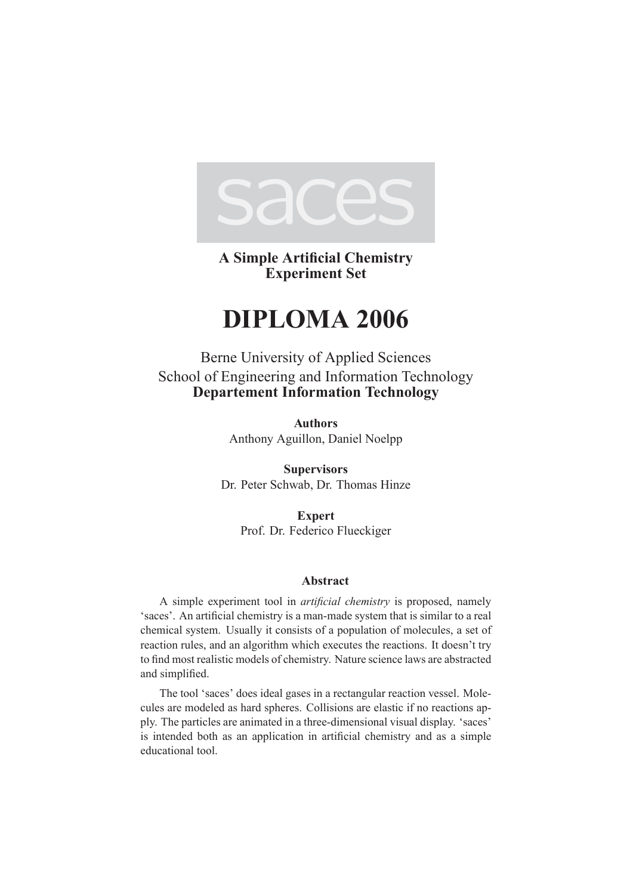

**A Simple Artificial Chemistry Experiment Set**

## **DIPLOMA 2006**

Berne University of Applied Sciences School of Engineering and Information Technology **Departement Information Technology**

> **Authors** Anthony Aguillon, Daniel Noelpp

**Supervisors** Dr. Peter Schwab, Dr. Thomas Hinze

> **Expert** Prof. Dr. Federico Flueckiger

#### **Abstract**

A simple experiment tool in *artificial chemistry* is proposed, namely 'saces'. An artificial chemistry is a man-made system that is similar to a real chemical system. Usually it consists of a population of molecules, a set of reaction rules, and an algorithm which executes the reactions. It doesn't try to find most realistic models of chemistry. Nature science laws are abstracted and simplified.

The tool 'saces' does ideal gases in a rectangular reaction vessel. Molecules are modeled as hard spheres. Collisions are elastic if no reactions apply. The particles are animated in a three-dimensional visual display. 'saces' is intended both as an application in artificial chemistry and as a simple educational tool.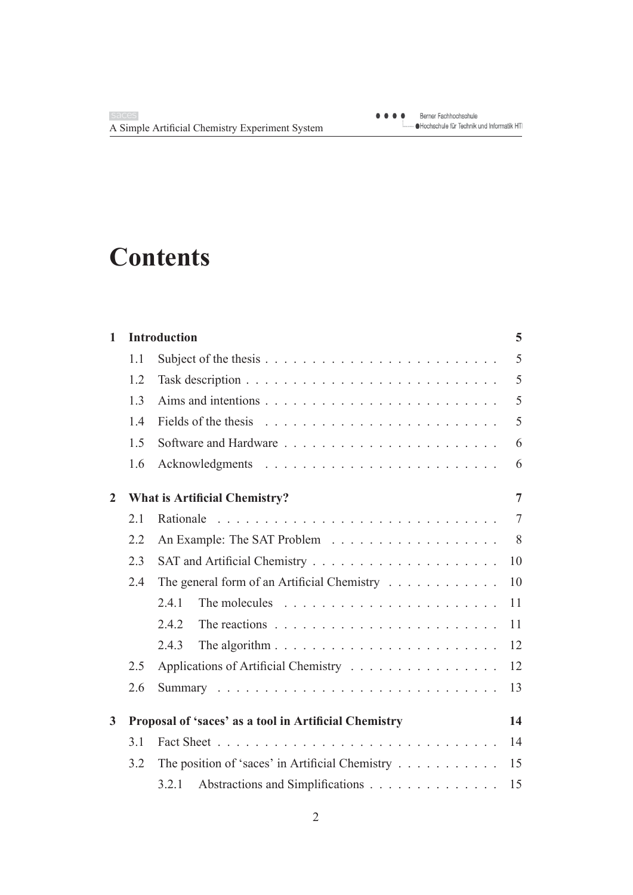# **Contents**

| $\mathbf{1}$ |     | <b>Introduction</b>                                                              | 5              |
|--------------|-----|----------------------------------------------------------------------------------|----------------|
|              | 1.1 |                                                                                  | 5              |
|              | 1.2 |                                                                                  | 5              |
|              | 1.3 |                                                                                  | 5              |
|              | 1.4 |                                                                                  | 5              |
|              | 1.5 |                                                                                  | 6              |
|              | 1.6 |                                                                                  | 6              |
| $\mathbf{2}$ |     | <b>What is Artificial Chemistry?</b>                                             | $\overline{7}$ |
|              | 2.1 |                                                                                  | $\overline{7}$ |
|              | 2.2 |                                                                                  | 8              |
|              | 2.3 |                                                                                  | 10             |
|              | 2.4 | The general form of an Artificial Chemistry $\dots \dots \dots \dots$            | 10             |
|              |     | 2.4.1                                                                            | 11             |
|              |     | 2.4.2                                                                            | 11             |
|              |     | The algorithm $\ldots \ldots \ldots \ldots \ldots \ldots \ldots \ldots$<br>2.4.3 | 12             |
|              | 2.5 | Applications of Artificial Chemistry                                             | 12             |
|              | 2.6 |                                                                                  | 13             |
| $\mathbf{3}$ |     | Proposal of 'saces' as a tool in Artificial Chemistry                            | 14             |
|              | 3.1 |                                                                                  | 14             |
|              | 3.2 | The position of 'saces' in Artificial Chemistry                                  | 15             |
|              |     | Abstractions and Simplifications<br>3.2.1                                        | 15             |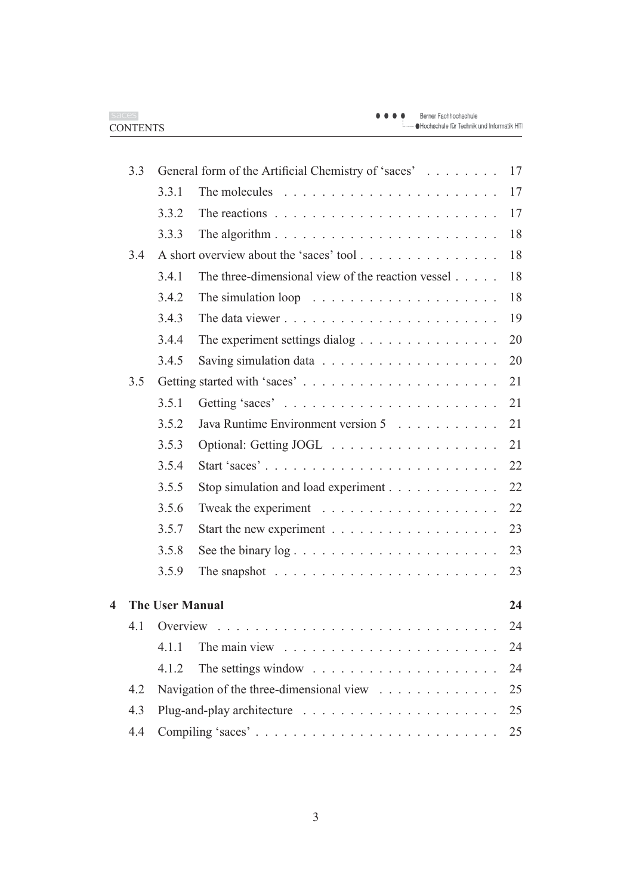|   | 3.3 | General form of the Artificial Chemistry of 'saces' 17 |                                                                                |    |
|---|-----|--------------------------------------------------------|--------------------------------------------------------------------------------|----|
|   |     | 3.3.1                                                  | The molecules $\ldots \ldots \ldots \ldots \ldots \ldots \ldots$               | 17 |
|   |     | 3.3.2                                                  | The reactions $\ldots \ldots \ldots \ldots \ldots \ldots \ldots \ldots \ldots$ | 17 |
|   |     | 3.3.3                                                  | The algorithm $\ldots \ldots \ldots \ldots \ldots \ldots \ldots \ldots$        | 18 |
|   | 3.4 |                                                        | A short overview about the 'saces' tool                                        | 18 |
|   |     | 3.4.1                                                  | The three-dimensional view of the reaction vessel                              | 18 |
|   |     | 3.4.2                                                  | The simulation loop $\ldots \ldots \ldots \ldots \ldots \ldots$                | 18 |
|   |     | 3.4.3                                                  |                                                                                | 19 |
|   |     | 3.4.4                                                  | The experiment settings dialog $\dots \dots \dots \dots \dots$                 | 20 |
|   |     | 3.4.5                                                  |                                                                                | 20 |
|   | 3.5 |                                                        |                                                                                | 21 |
|   |     | 3.5.1                                                  |                                                                                | 21 |
|   |     | 3.5.2                                                  | Java Runtime Environment version 5                                             | 21 |
|   |     | 3.5.3                                                  |                                                                                | 21 |
|   |     | 3.5.4                                                  | Start 'saces'                                                                  | 22 |
|   |     | 3.5.5                                                  | Stop simulation and load experiment                                            | 22 |
|   |     | 3.5.6                                                  | Tweak the experiment $\ldots \ldots \ldots \ldots \ldots \ldots$               | 22 |
|   |     | 3.5.7                                                  |                                                                                | 23 |
|   |     | 3.5.8                                                  | See the binary $log$                                                           | 23 |
|   |     | 3.5.9                                                  | The snapshot $\ldots \ldots \ldots \ldots \ldots \ldots \ldots \ldots$         | 23 |
|   |     |                                                        |                                                                                |    |
| 4 |     | <b>The User Manual</b>                                 |                                                                                | 24 |
|   | 4.1 |                                                        |                                                                                | 24 |
|   |     | 4.1.1                                                  | The main view $\dots \dots \dots \dots \dots \dots \dots \dots$                | 24 |
|   |     | 4.1.2                                                  | The settings window $\dots \dots \dots \dots \dots \dots \dots$                | 24 |
|   | 4.2 |                                                        | Navigation of the three-dimensional view                                       | 25 |
|   | 4.3 |                                                        |                                                                                | 25 |
|   | 4.4 |                                                        |                                                                                | 25 |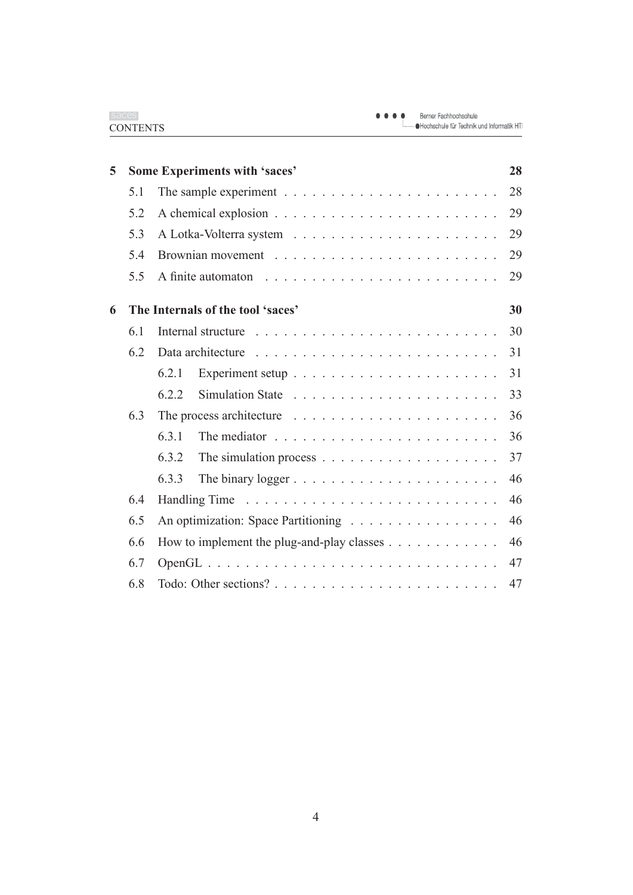| 5 |     | <b>Some Experiments with 'saces'</b>                                                | 28 |
|---|-----|-------------------------------------------------------------------------------------|----|
|   | 5.1 |                                                                                     | 28 |
|   | 5.2 |                                                                                     | 29 |
|   | 5.3 |                                                                                     | 29 |
|   | 5.4 |                                                                                     | 29 |
|   | 5.5 |                                                                                     | 29 |
| 6 |     | The Internals of the tool 'saces'                                                   | 30 |
|   | 6.1 |                                                                                     | 30 |
|   | 6.2 |                                                                                     | 31 |
|   |     | 6.2.1<br>Experiment setup $\ldots \ldots \ldots \ldots \ldots \ldots \ldots \ldots$ | 31 |
|   |     | 6.2.2                                                                               | 33 |
|   | 6.3 | The process architecture $\ldots \ldots \ldots \ldots \ldots \ldots \ldots$         | 36 |
|   |     | 6.3.1                                                                               | 36 |
|   |     | 6.3.2<br>The simulation process $\dots \dots \dots \dots \dots \dots \dots$         | 37 |
|   |     | 6.3.3                                                                               | 46 |
|   | 6.4 |                                                                                     | 46 |
|   | 6.5 |                                                                                     | 46 |
|   | 6.6 | How to implement the plug-and-play classes $\dots \dots \dots \dots$                | 46 |
|   | 6.7 |                                                                                     | 47 |
|   | 6.8 |                                                                                     | 47 |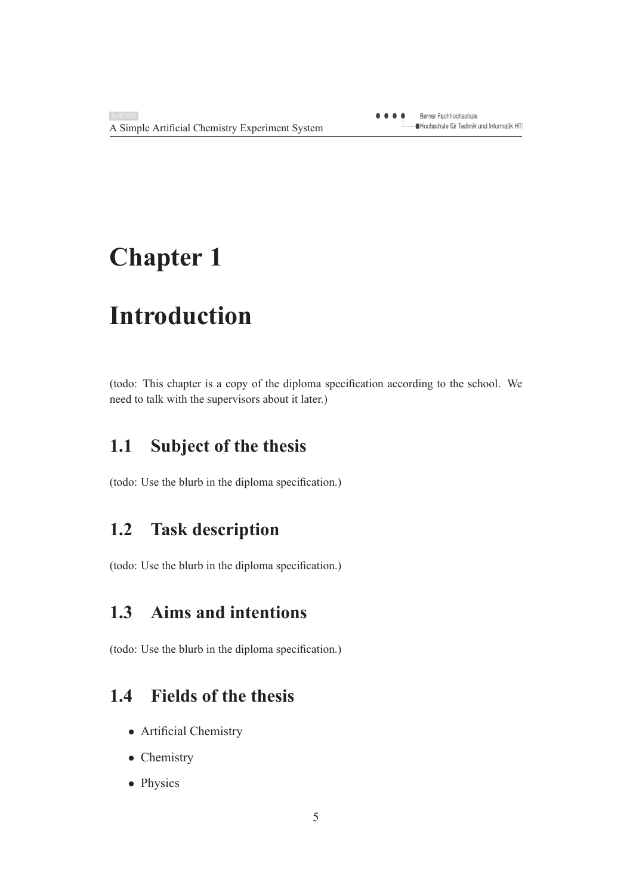# **Chapter 1**

# **Introduction**

(todo: This chapter is a copy of the diploma specification according to the school. We need to talk with the supervisors about it later.)

## **1.1 Subject of the thesis**

(todo: Use the blurb in the diploma specification.)

## **1.2 Task description**

(todo: Use the blurb in the diploma specification.)

## **1.3 Aims and intentions**

(todo: Use the blurb in the diploma specification.)

## **1.4 Fields of the thesis**

- Artificial Chemistry
- Chemistry
- Physics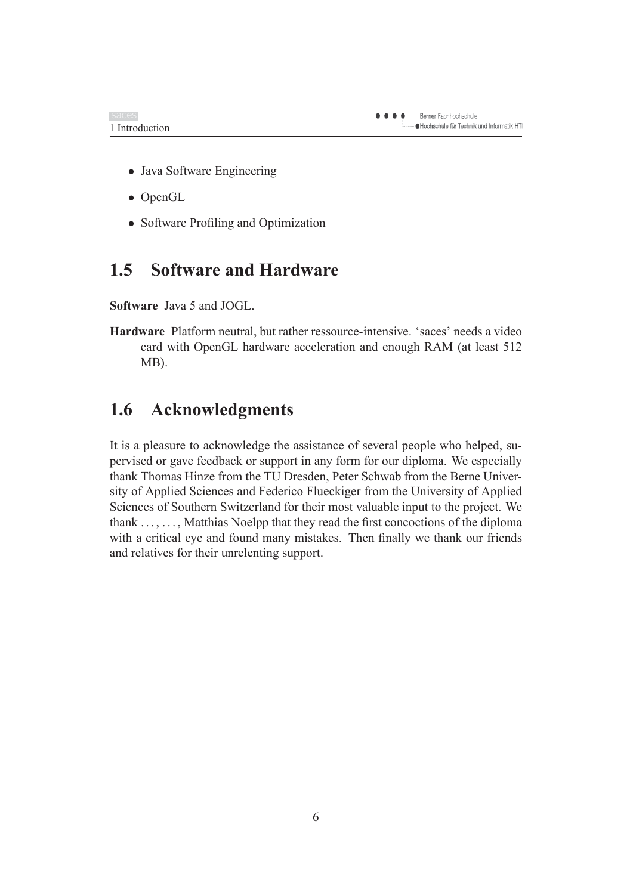- saces 1 Introduction
	- Java Software Engineering
	- OpenGL
	- Software Profiling and Optimization

## **1.5 Software and Hardware**

**Software** Java 5 and JOGL.

**Hardware** Platform neutral, but rather ressource-intensive. 'saces' needs a video card with OpenGL hardware acceleration and enough RAM (at least 512 MB).

## **1.6 Acknowledgments**

It is a pleasure to acknowledge the assistance of several people who helped, supervised or gave feedback or support in any form for our diploma. We especially thank Thomas Hinze from the TU Dresden, Peter Schwab from the Berne University of Applied Sciences and Federico Flueckiger from the University of Applied Sciences of Southern Switzerland for their most valuable input to the project. We thank  $...,...,$  Matthias Noelpp that they read the first concoctions of the diploma with a critical eye and found many mistakes. Then finally we thank our friends and relatives for their unrelenting support.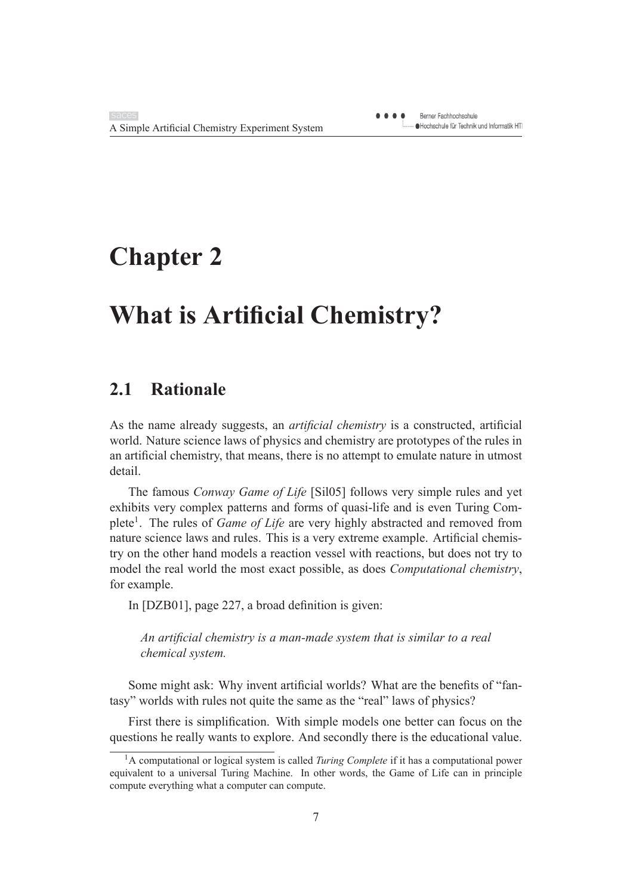## **Chapter 2**

## **What is Artificial Chemistry?**

## **2.1 Rationale**

As the name already suggests, an *artificial chemistry* is a constructed, artificial world. Nature science laws of physics and chemistry are prototypes of the rules in an artificial chemistry, that means, there is no attempt to emulate nature in utmost detail.

The famous *Conway Game of Life* [Sil05] follows very simple rules and yet exhibits very complex patterns and forms of quasi-life and is even Turing Complete1. The rules of *Game of Life* are very highly abstracted and removed from nature science laws and rules. This is a very extreme example. Artificial chemistry on the other hand models a reaction vessel with reactions, but does not try to model the real world the most exact possible, as does *Computational chemistry*, for example.

In [DZB01], page 227, a broad definition is given:

*An artificial chemistry is a man-made system that is similar to a real chemical system.*

Some might ask: Why invent artificial worlds? What are the benefits of "fantasy" worlds with rules not quite the same as the "real" laws of physics?

First there is simplification. With simple models one better can focus on the questions he really wants to explore. And secondly there is the educational value.

<sup>&</sup>lt;sup>1</sup>A computational or logical system is called *Turing Complete* if it has a computational power equivalent to a universal Turing Machine. In other words, the Game of Life can in principle compute everything what a computer can compute.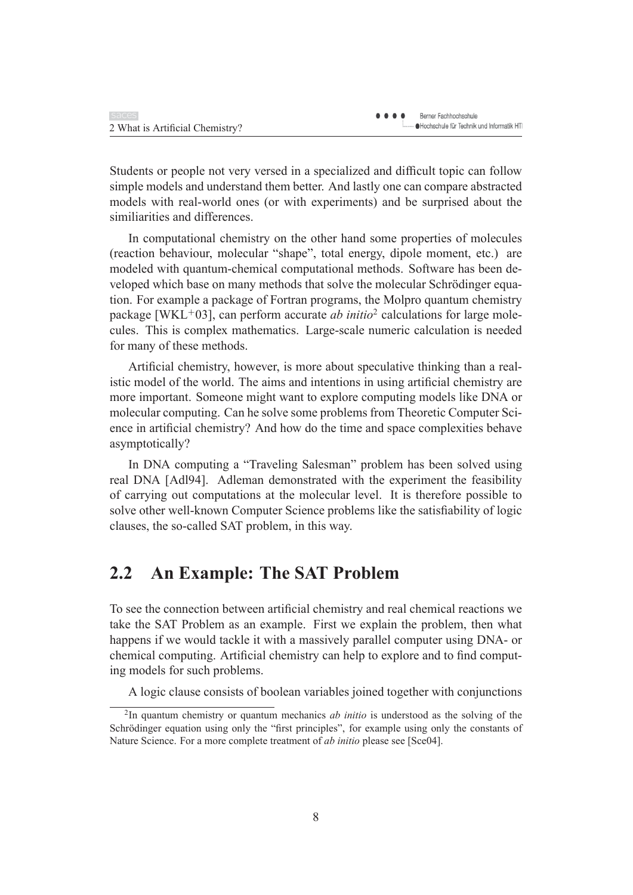Students or people not very versed in a specialized and difficult topic can follow simple models and understand them better. And lastly one can compare abstracted models with real-world ones (or with experiments) and be surprised about the similiarities and differences.

In computational chemistry on the other hand some properties of molecules (reaction behaviour, molecular "shape", total energy, dipole moment, etc.) are modeled with quantum-chemical computational methods. Software has been developed which base on many methods that solve the molecular Schrödinger equation. For example a package of Fortran programs, the Molpro quantum chemistry package [WKL<sup>+</sup>03], can perform accurate *ab initio*<sup>2</sup> calculations for large molecules. This is complex mathematics. Large-scale numeric calculation is needed for many of these methods.

Artificial chemistry, however, is more about speculative thinking than a realistic model of the world. The aims and intentions in using artificial chemistry are more important. Someone might want to explore computing models like DNA or molecular computing. Can he solve some problems from Theoretic Computer Science in artificial chemistry? And how do the time and space complexities behave asymptotically?

In DNA computing a "Traveling Salesman" problem has been solved using real DNA [Adl94]. Adleman demonstrated with the experiment the feasibility of carrying out computations at the molecular level. It is therefore possible to solve other well-known Computer Science problems like the satisfiability of logic clauses, the so-called SAT problem, in this way.

## **2.2 An Example: The SAT Problem**

To see the connection between artificial chemistry and real chemical reactions we take the SAT Problem as an example. First we explain the problem, then what happens if we would tackle it with a massively parallel computer using DNA- or chemical computing. Artificial chemistry can help to explore and to find computing models for such problems.

A logic clause consists of boolean variables joined together with conjunctions

<sup>2</sup>In quantum chemistry or quantum mechanics *ab initio* is understood as the solving of the Schrödinger equation using only the "first principles", for example using only the constants of Nature Science. For a more complete treatment of *ab initio* please see [Sce04].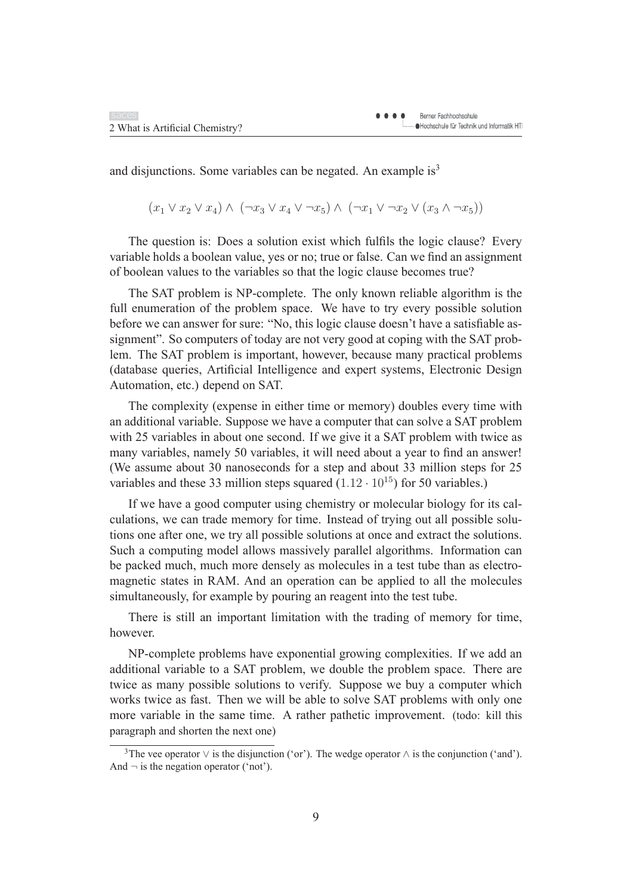and disjunctions. Some variables can be negated. An example  $is<sup>3</sup>$ 

 $(x_1 \vee x_2 \vee x_4) \wedge (\neg x_3 \vee x_4 \vee \neg x_5) \wedge (\neg x_1 \vee \neg x_2 \vee (x_3 \wedge \neg x_5))$ 

The question is: Does a solution exist which fulfils the logic clause? Every variable holds a boolean value, yes or no; true or false. Can we find an assignment of boolean values to the variables so that the logic clause becomes true?

The SAT problem is NP-complete. The only known reliable algorithm is the full enumeration of the problem space. We have to try every possible solution before we can answer for sure: "No, this logic clause doesn't have a satisfiable assignment". So computers of today are not very good at coping with the SAT problem. The SAT problem is important, however, because many practical problems (database queries, Artificial Intelligence and expert systems, Electronic Design Automation, etc.) depend on SAT.

The complexity (expense in either time or memory) doubles every time with an additional variable. Suppose we have a computer that can solve a SAT problem with 25 variables in about one second. If we give it a SAT problem with twice as many variables, namely 50 variables, it will need about a year to find an answer! (We assume about 30 nanoseconds for a step and about 33 million steps for 25 variables and these 33 million steps squared  $(1.12 \cdot 10^{15})$  for 50 variables.)

If we have a good computer using chemistry or molecular biology for its calculations, we can trade memory for time. Instead of trying out all possible solutions one after one, we try all possible solutions at once and extract the solutions. Such a computing model allows massively parallel algorithms. Information can be packed much, much more densely as molecules in a test tube than as electromagnetic states in RAM. And an operation can be applied to all the molecules simultaneously, for example by pouring an reagent into the test tube.

There is still an important limitation with the trading of memory for time, however.

NP-complete problems have exponential growing complexities. If we add an additional variable to a SAT problem, we double the problem space. There are twice as many possible solutions to verify. Suppose we buy a computer which works twice as fast. Then we will be able to solve SAT problems with only one more variable in the same time. A rather pathetic improvement. (todo: kill this paragraph and shorten the next one)

<sup>&</sup>lt;sup>3</sup>The vee operator  $\vee$  is the disjunction ('or'). The wedge operator  $\wedge$  is the conjunction ('and'). And  $\neg$  is the negation operator ('not').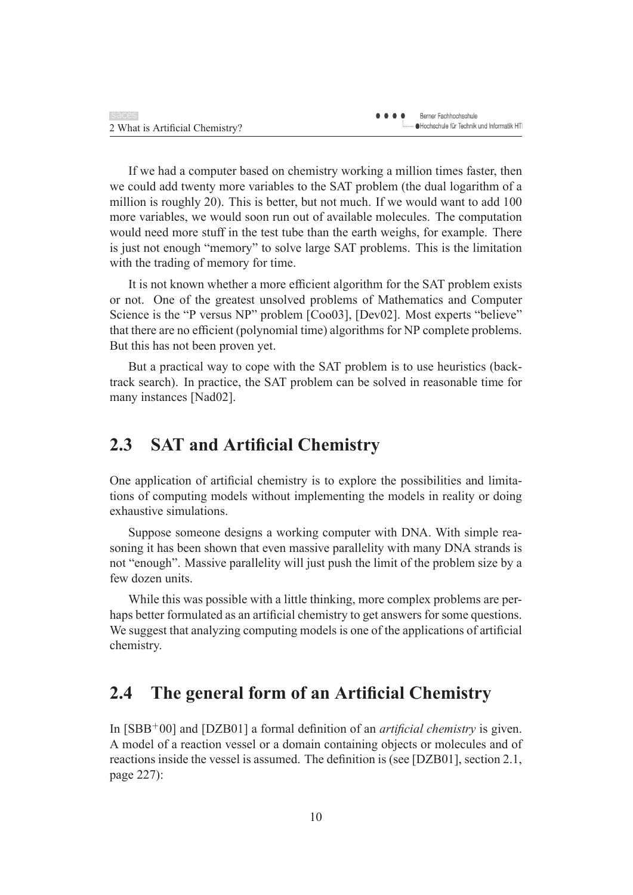If we had a computer based on chemistry working a million times faster, then we could add twenty more variables to the SAT problem (the dual logarithm of a million is roughly 20). This is better, but not much. If we would want to add 100 more variables, we would soon run out of available molecules. The computation would need more stuff in the test tube than the earth weighs, for example. There is just not enough "memory" to solve large SAT problems. This is the limitation with the trading of memory for time.

It is not known whether a more efficient algorithm for the SAT problem exists or not. One of the greatest unsolved problems of Mathematics and Computer Science is the "P versus NP" problem [Coo03], [Dev02]. Most experts "believe" that there are no efficient (polynomial time) algorithms for NP complete problems. But this has not been proven yet.

But a practical way to cope with the SAT problem is to use heuristics (backtrack search). In practice, the SAT problem can be solved in reasonable time for many instances [Nad02].

## **2.3 SAT and Artificial Chemistry**

One application of artificial chemistry is to explore the possibilities and limitations of computing models without implementing the models in reality or doing exhaustive simulations.

Suppose someone designs a working computer with DNA. With simple reasoning it has been shown that even massive parallelity with many DNA strands is not "enough". Massive parallelity will just push the limit of the problem size by a few dozen units.

While this was possible with a little thinking, more complex problems are perhaps better formulated as an artificial chemistry to get answers for some questions. We suggest that analyzing computing models is one of the applications of artificial chemistry.

## **2.4 The general form of an Artificial Chemistry**

In [SBB<sup>+</sup>00] and [DZB01] a formal definition of an *artificial chemistry* is given. A model of a reaction vessel or a domain containing objects or molecules and of reactions inside the vessel is assumed. The definition is (see [DZB01], section 2.1, page 227):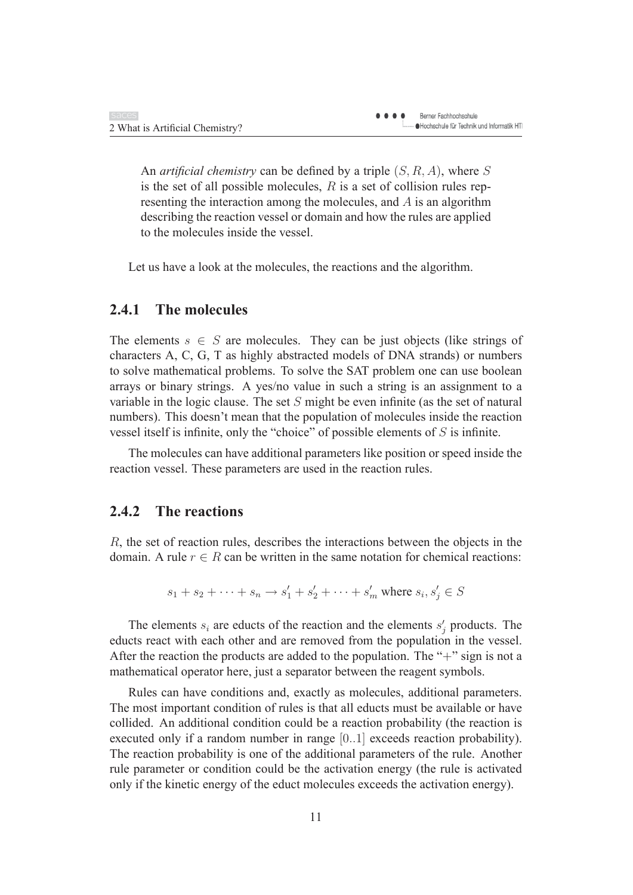An *artificial chemistry* can be defined by a triple (S, R, A), where S is the set of all possible molecules,  $R$  is a set of collision rules representing the interaction among the molecules, and A is an algorithm describing the reaction vessel or domain and how the rules are applied to the molecules inside the vessel.

Let us have a look at the molecules, the reactions and the algorithm.

## **2.4.1 The molecules**

The elements  $s \in S$  are molecules. They can be just objects (like strings of characters A, C, G, T as highly abstracted models of DNA strands) or numbers to solve mathematical problems. To solve the SAT problem one can use boolean arrays or binary strings. A yes/no value in such a string is an assignment to a variable in the logic clause. The set  $S$  might be even infinite (as the set of natural numbers). This doesn't mean that the population of molecules inside the reaction vessel itself is infinite, only the "choice" of possible elements of S is infinite.

The molecules can have additional parameters like position or speed inside the reaction vessel. These parameters are used in the reaction rules.

### **2.4.2 The reactions**

R, the set of reaction rules, describes the interactions between the objects in the domain. A rule  $r \in R$  can be written in the same notation for chemical reactions:

$$
s_1 + s_2 + \dots + s_n \to s_1' + s_2' + \dots + s_m'
$$
 where  $s_i, s_j' \in S$ 

The elements  $s_i$  are educts of the reaction and the elements  $s'_j$  products. The educts react with each other and are removed from the population in the vessel. After the reaction the products are added to the population. The " $+$ " sign is not a mathematical operator here, just a separator between the reagent symbols.

Rules can have conditions and, exactly as molecules, additional parameters. The most important condition of rules is that all educts must be available or have collided. An additional condition could be a reaction probability (the reaction is executed only if a random number in range [0..1] exceeds reaction probability). The reaction probability is one of the additional parameters of the rule. Another rule parameter or condition could be the activation energy (the rule is activated only if the kinetic energy of the educt molecules exceeds the activation energy).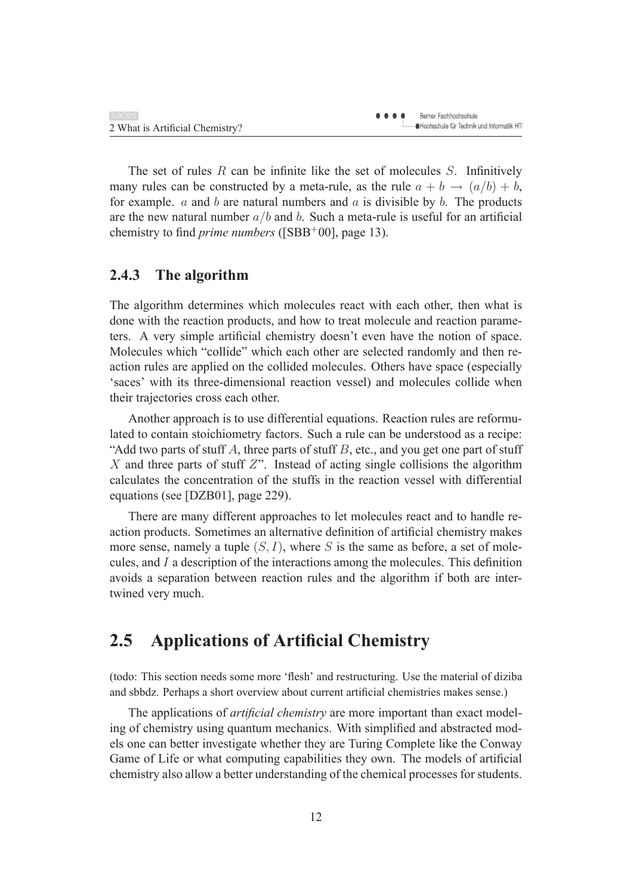The set of rules  $R$  can be infinite like the set of molecules  $S$ . Infinitively many rules can be constructed by a meta-rule, as the rule  $a + b \rightarrow (a/b) + b$ , for example.  $a$  and  $b$  are natural numbers and  $a$  is divisible by  $b$ . The products are the new natural number  $a/b$  and b. Such a meta-rule is useful for an artificial chemistry to find *prime numbers* ([SBB<sup>+</sup>00], page 13).

### **2.4.3 The algorithm**

The algorithm determines which molecules react with each other, then what is done with the reaction products, and how to treat molecule and reaction parameters. A very simple artificial chemistry doesn't even have the notion of space. Molecules which "collide" which each other are selected randomly and then reaction rules are applied on the collided molecules. Others have space (especially 'saces' with its three-dimensional reaction vessel) and molecules collide when their trajectories cross each other.

Another approach is to use differential equations. Reaction rules are reformulated to contain stoichiometry factors. Such a rule can be understood as a recipe: "Add two parts of stuff A, three parts of stuff  $B$ , etc., and you get one part of stuff X and three parts of stuff  $Z$ ". Instead of acting single collisions the algorithm calculates the concentration of the stuffs in the reaction vessel with differential equations (see [DZB01], page 229).

There are many different approaches to let molecules react and to handle reaction products. Sometimes an alternative definition of artificial chemistry makes more sense, namely a tuple  $(S, I)$ , where S is the same as before, a set of molecules, and I a description of the interactions among the molecules. This definition avoids a separation between reaction rules and the algorithm if both are intertwined very much.

## **2.5 Applications of Artificial Chemistry**

(todo: This section needs some more 'flesh' and restructuring. Use the material of diziba and sbbdz. Perhaps a short overview about current artificial chemistries makes sense.)

The applications of *artificial chemistry* are more important than exact modeling of chemistry using quantum mechanics. With simplified and abstracted models one can better investigate whether they are Turing Complete like the Conway Game of Life or what computing capabilities they own. The models of artificial chemistry also allow a better understanding of the chemical processes forstudents.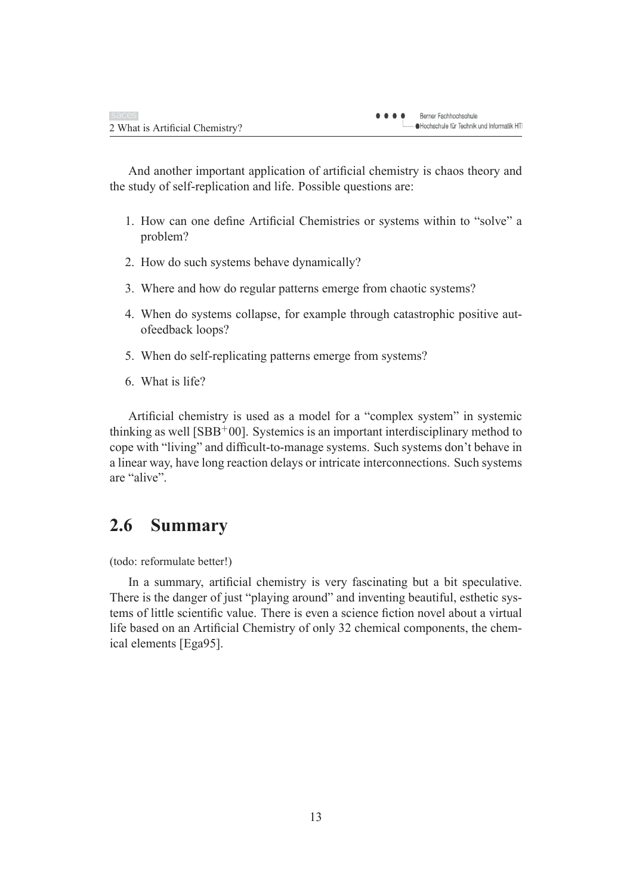And another important application of artificial chemistry is chaos theory and the study of self-replication and life. Possible questions are:

- 1. How can one define Artificial Chemistries or systems within to "solve" a problem?
- 2. How do such systems behave dynamically?
- 3. Where and how do regular patterns emerge from chaotic systems?
- 4. When do systems collapse, for example through catastrophic positive autofeedback loops?
- 5. When do self-replicating patterns emerge from systems?
- 6. What is life?

Artificial chemistry is used as a model for a "complex system" in systemic thinking as well  $[SBB<sup>+</sup>00]$ . Systemics is an important interdisciplinary method to cope with "living" and difficult-to-manage systems. Such systems don't behave in a linear way, have long reaction delays or intricate interconnections. Such systems are "alive".

## **2.6 Summary**

(todo: reformulate better!)

In a summary, artificial chemistry is very fascinating but a bit speculative. There is the danger of just "playing around" and inventing beautiful, esthetic systems of little scientific value. There is even a science fiction novel about a virtual life based on an Artificial Chemistry of only 32 chemical components, the chemical elements [Ega95].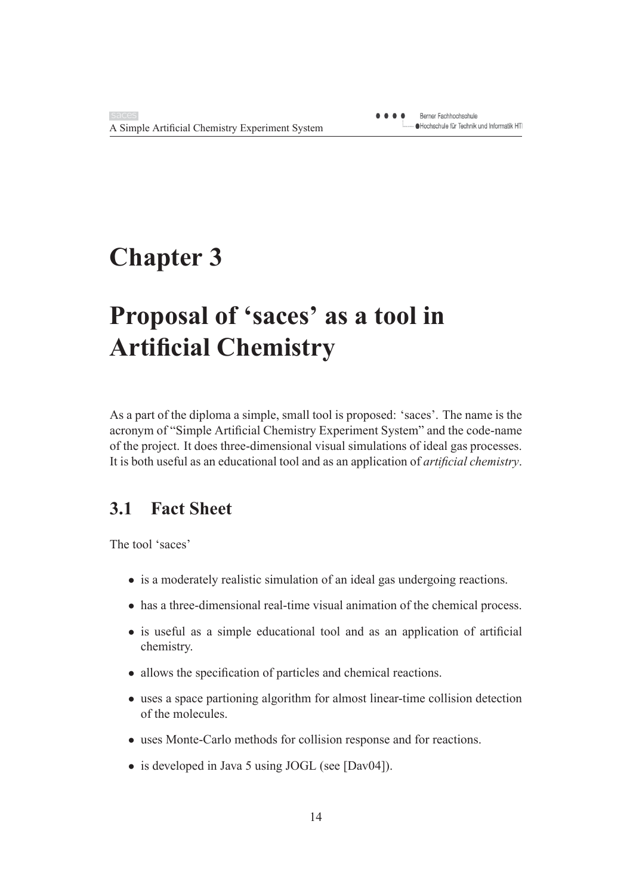# **Chapter 3**

# **Proposal of 'saces' as a tool in Artificial Chemistry**

As a part of the diploma a simple, small tool is proposed: 'saces'. The name is the acronym of "Simple Artificial Chemistry Experiment System" and the code-name of the project. It does three-dimensional visual simulations of ideal gas processes. It is both useful as an educational tool and as an application of *artificial chemistry*.

## **3.1 Fact Sheet**

The tool 'saces'

- is a moderately realistic simulation of an ideal gas undergoing reactions.
- has a three-dimensional real-time visual animation of the chemical process.
- is useful as a simple educational tool and as an application of artificial chemistry.
- allows the specification of particles and chemical reactions.
- uses a space partioning algorithm for almost linear-time collision detection of the molecules.
- uses Monte-Carlo methods for collision response and for reactions.
- is developed in Java 5 using JOGL (see [Dav04]).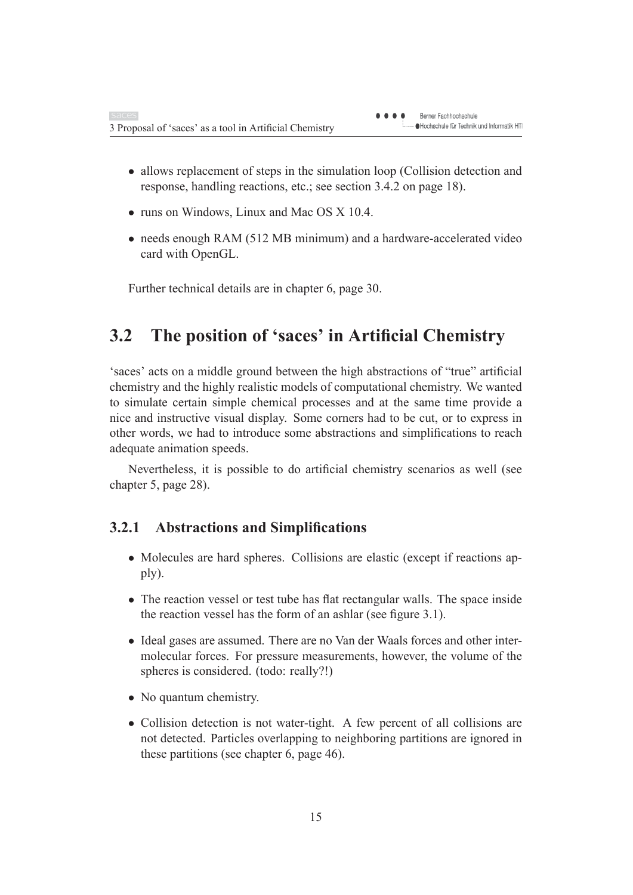- allows replacement of steps in the simulation loop (Collision detection and response, handling reactions, etc.; see section 3.4.2 on page 18).
- runs on Windows, Linux and Mac OS X 10.4.
- needs enough RAM (512 MB minimum) and a hardware-accelerated video card with OpenGL.

Further technical details are in chapter 6, page 30.

## **3.2 The position of 'saces' in Artificial Chemistry**

'saces' acts on a middle ground between the high abstractions of "true" artificial chemistry and the highly realistic models of computational chemistry. We wanted to simulate certain simple chemical processes and at the same time provide a nice and instructive visual display. Some corners had to be cut, or to express in other words, we had to introduce some abstractions and simplifications to reach adequate animation speeds.

Nevertheless, it is possible to do artificial chemistry scenarios as well (see chapter 5, page 28).

### **3.2.1 Abstractions and Simplifications**

- Molecules are hard spheres. Collisions are elastic (except if reactions apply).
- The reaction vessel or test tube has flat rectangular walls. The space inside the reaction vessel has the form of an ashlar (see figure 3.1).
- Ideal gases are assumed. There are no Van der Waals forces and other intermolecular forces. For pressure measurements, however, the volume of the spheres is considered. (todo: really?!)
- No quantum chemistry.
- Collision detection is not water-tight. A few percent of all collisions are not detected. Particles overlapping to neighboring partitions are ignored in these partitions (see chapter 6, page 46).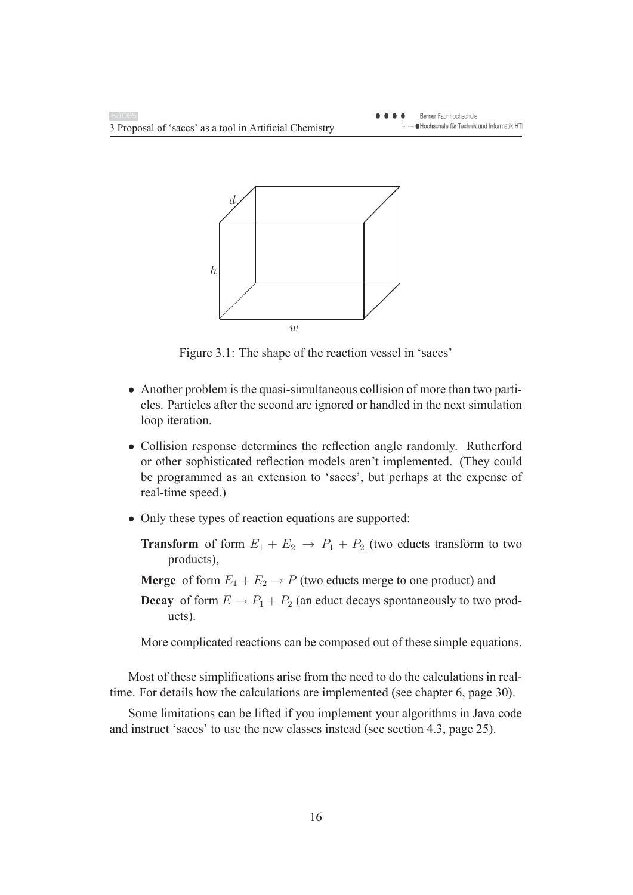

Figure 3.1: The shape of the reaction vessel in 'saces'

- Another problem is the quasi-simultaneous collision of more than two particles. Particles after the second are ignored or handled in the next simulation loop iteration.
- Collision response determines the reflection angle randomly. Rutherford or other sophisticated reflection models aren't implemented. (They could be programmed as an extension to 'saces', but perhaps at the expense of real-time speed.)
- Only these types of reaction equations are supported:
	- **Transform** of form  $E_1 + E_2 \rightarrow P_1 + P_2$  (two educts transform to two products),
	- **Merge** of form  $E_1 + E_2 \rightarrow P$  (two educts merge to one product) and
	- **Decay** of form  $E \to P_1 + P_2$  (an educt decays spontaneously to two products).

More complicated reactions can be composed out of these simple equations.

Most of these simplifications arise from the need to do the calculations in realtime. For details how the calculations are implemented (see chapter 6, page 30).

Some limitations can be lifted if you implement your algorithms in Java code and instruct 'saces' to use the new classes instead (see section 4.3, page 25).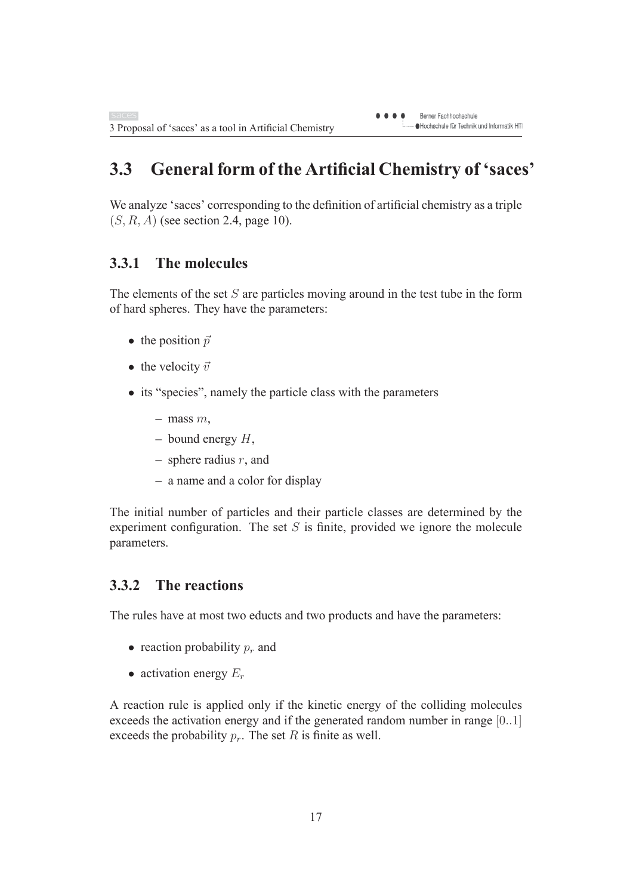## **3.3 General form of the Artificial Chemistry of 'saces'**

We analyze 'saces' corresponding to the definition of artificial chemistry as a triple  $(S, R, A)$  (see section 2.4, page 10).

### **3.3.1 The molecules**

The elements of the set  $S$  are particles moving around in the test tube in the form of hard spheres. They have the parameters:

- the position  $\bar{p}$
- the velocity  $\bar{v}$
- its "species", namely the particle class with the parameters
	- **–** mass m,
	- **–** bound energy H,
	- **–** sphere radius r, and
	- **–** a name and a color for display

The initial number of particles and their particle classes are determined by the experiment configuration. The set  $S$  is finite, provided we ignore the molecule parameters.

### **3.3.2 The reactions**

The rules have at most two educts and two products and have the parameters:

- reaction probability  $p_r$  and
- activation energy  $E_r$

A reaction rule is applied only if the kinetic energy of the colliding molecules exceeds the activation energy and if the generated random number in range [0..1] exceeds the probability  $p_r$ . The set R is finite as well.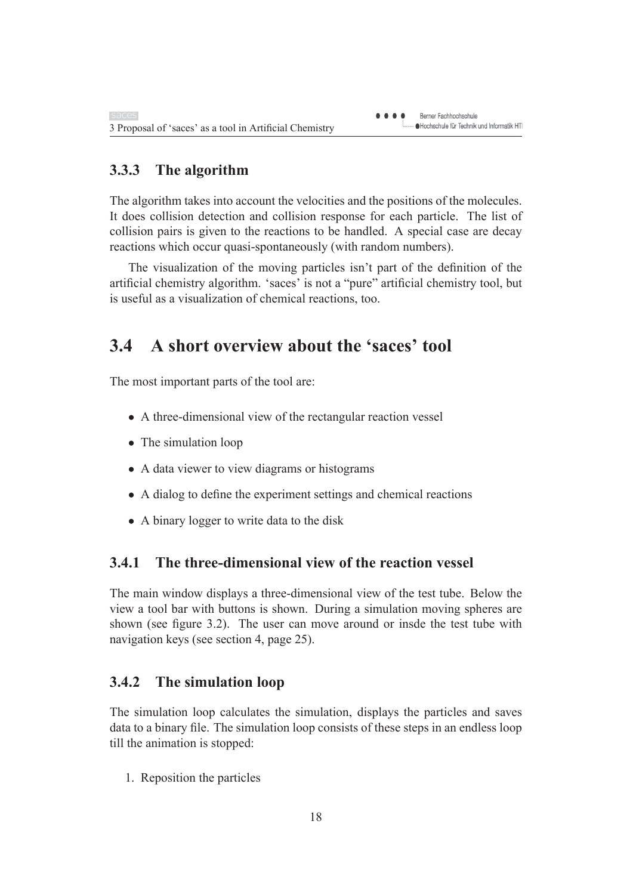## **3.3.3 The algorithm**

The algorithm takes into account the velocities and the positions of the molecules. It does collision detection and collision response for each particle. The list of collision pairs is given to the reactions to be handled. A special case are decay reactions which occur quasi-spontaneously (with random numbers).

The visualization of the moving particles isn't part of the definition of the artificial chemistry algorithm. 'saces' is not a "pure" artificial chemistry tool, but is useful as a visualization of chemical reactions, too.

## **3.4 A short overview about the 'saces' tool**

The most important parts of the tool are:

- A three-dimensional view of the rectangular reaction vessel
- The simulation loop
- A data viewer to view diagrams or histograms
- A dialog to define the experiment settings and chemical reactions
- A binary logger to write data to the disk

### **3.4.1 The three-dimensional view of the reaction vessel**

The main window displays a three-dimensional view of the test tube. Below the view a tool bar with buttons is shown. During a simulation moving spheres are shown (see figure 3.2). The user can move around or insde the test tube with navigation keys (see section 4, page 25).

### **3.4.2 The simulation loop**

The simulation loop calculates the simulation, displays the particles and saves data to a binary file. The simulation loop consists of these steps in an endless loop till the animation is stopped:

1. Reposition the particles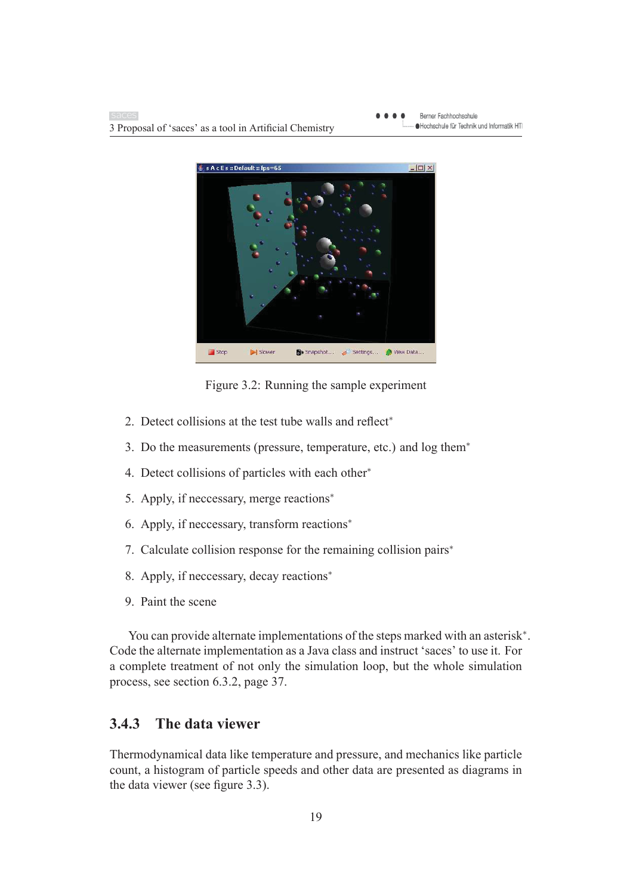3 Proposal of 'saces' as a tool in Artificial Chemistry





Figure 3.2: Running the sample experiment

- 2. Detect collisions at the test tube walls and reflect<sup>\*</sup>
- 3. Do the measurements (pressure, temperature, etc.) and log them<sup>∗</sup>
- 4. Detect collisions of particles with each other<sup>\*</sup>
- 5. Apply, if neccessary, merge reactions<sup>∗</sup>
- 6. Apply, if neccessary, transform reactions<sup>∗</sup>
- 7. Calculate collision response for the remaining collision pairs<sup>∗</sup>
- 8. Apply, if neccessary, decay reactions<sup>∗</sup>
- 9. Paint the scene

You can provide alternate implementations of the steps marked with an asterisk∗. Code the alternate implementation as a Java class and instruct 'saces' to use it. For a complete treatment of not only the simulation loop, but the whole simulation process, see section 6.3.2, page 37.

## **3.4.3 The data viewer**

Thermodynamical data like temperature and pressure, and mechanics like particle count, a histogram of particle speeds and other data are presented as diagrams in the data viewer (see figure 3.3).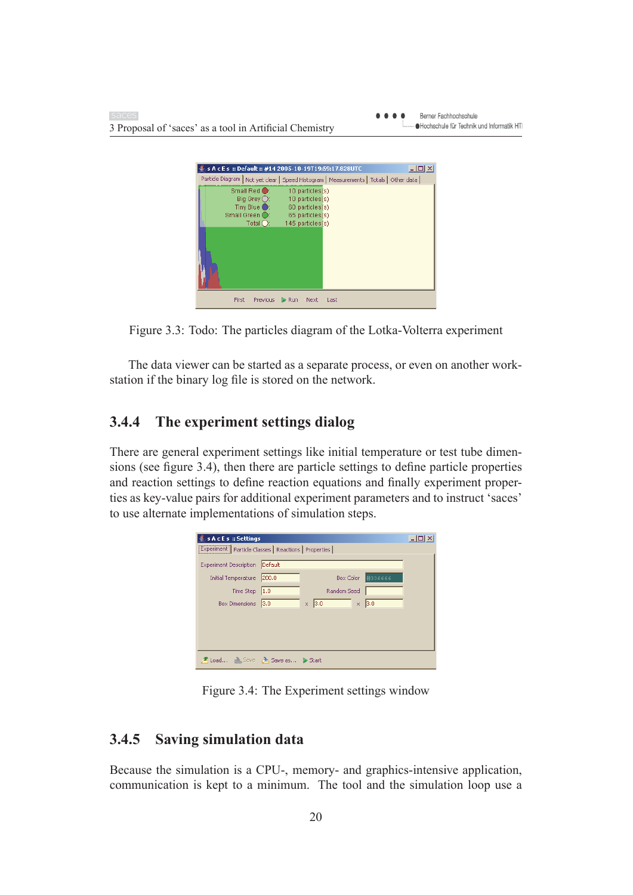Berner Fachhochschule  $\bullet\bullet\bullet\bullet$ - ● Hochschule für Technik und Informatik HTI 3 Proposal of 'saces' as a tool in Artificial Chemistry **A.** s A c E s :: Default :: #14 2005-10-19T19:59:17.828UTC  $\Box$ Particle Diagram | Not yet clear | Speed Histogram | Measurements | Totals | Other data | Small Red <sup>O</sup> 10 particles(s) Big Grey  $\overline{O}$ <br>Tiny Blue 10 particles(s) 60 particles(s) Small Green O 65 particles(s) Total  $\bar{O}$ 145 particles(s) First Previous Run Next Last

Figure 3.3: Todo: The particles diagram of the Lotka-Volterra experiment

The data viewer can be started as a separate process, or even on another workstation if the binary log file is stored on the network.

### **3.4.4 The experiment settings dialog**

There are general experiment settings like initial temperature or test tube dimensions (see figure 3.4), then there are particle settings to define particle properties and reaction settings to define reaction equations and finally experiment properties as key-value pairs for additional experiment parameters and to instruct 'saces' to use alternate implementations of simulation steps.

| SACES :: Settings                                      |         |                             |         |  |
|--------------------------------------------------------|---------|-----------------------------|---------|--|
| Experiment   Particle Classes   Reactions   Properties |         |                             |         |  |
| <b>Experiment Description</b>                          | Default |                             |         |  |
| <b>Initial Temperature</b>                             | 200.0   | Box Color                   | #336666 |  |
| Time Step                                              | 1.0     | Random Seed                 |         |  |
| <b>Box Dimensions</b>                                  | 3.0     | $\times$ 3.0<br>$\mathsf X$ | 3.0     |  |
|                                                        |         |                             |         |  |
|                                                        |         |                             |         |  |
|                                                        |         |                             |         |  |
| <b>■ Load</b> ■ Save ■ Save as ▶ Start                 |         |                             |         |  |
|                                                        |         |                             |         |  |

Figure 3.4: The Experiment settings window

## **3.4.5 Saving simulation data**

Because the simulation is a CPU-, memory- and graphics-intensive application, communication is kept to a minimum. The tool and the simulation loop use a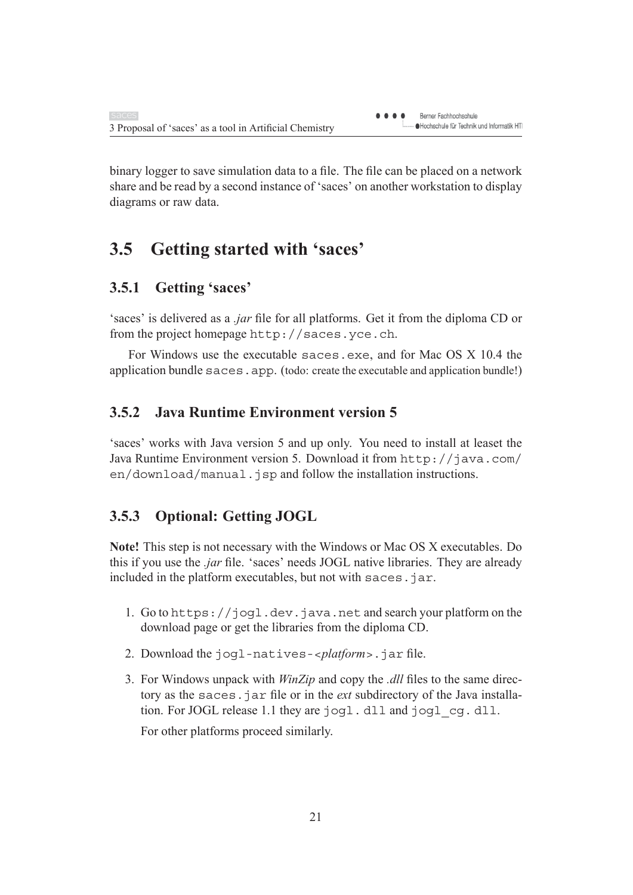binary logger to save simulation data to a file. The file can be placed on a network share and be read by a second instance of 'saces' on another workstation to display diagrams or raw data.

## **3.5 Getting started with 'saces'**

## **3.5.1 Getting 'saces'**

'saces' is delivered as a *.jar* file for all platforms. Get it from the diploma CD or from the project homepage http://saces.yce.ch.

For Windows use the executable saces, exe, and for Mac OS X 10.4 the application bundle saces.app. (todo: create the executable and application bundle!)

## **3.5.2 Java Runtime Environment version 5**

'saces' works with Java version 5 and up only. You need to install at leaset the Java Runtime Environment version 5. Download it from http://java.com/ en/download/manual.jsp and follow the installation instructions.

## **3.5.3 Optional: Getting JOGL**

**Note!** This step is not necessary with the Windows or Mac OS X executables. Do this if you use the *.jar* file. 'saces' needs JOGL native libraries. They are already included in the platform executables, but not with saces.jar.

- 1. Go to https://jogl.dev.java.net and search your platform on the download page or get the libraries from the diploma CD.
- 2. Download the jogl-natives-<*platform*>.jar file.
- 3. For Windows unpack with *WinZip* and copy the *.dll* files to the same directory as the saces.jar file or in the *ext* subdirectory of the Java installation. For JOGL release 1.1 they are jogl. dll and jogl\_cg. dll.

For other platforms proceed similarly.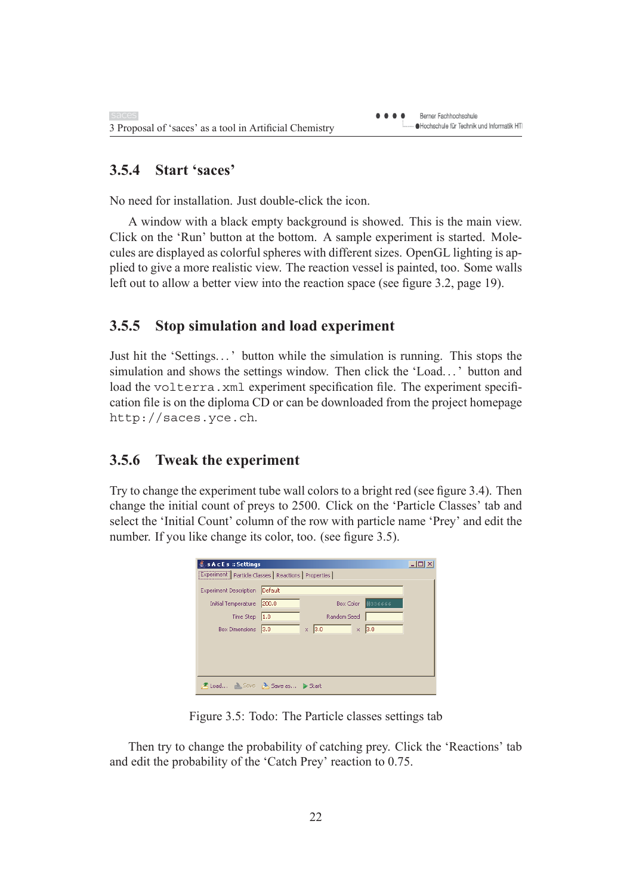## **3.5.4 Start 'saces'**

No need for installation. Just double-click the icon.

A window with a black empty background is showed. This is the main view. Click on the 'Run' button at the bottom. A sample experiment is started. Molecules are displayed as colorful spheres with different sizes. OpenGL lighting is applied to give a more realistic view. The reaction vessel is painted, too. Some walls left out to allow a better view into the reaction space (see figure 3.2, page 19).

### **3.5.5 Stop simulation and load experiment**

Just hit the 'Settings. . . ' button while the simulation is running. This stops the simulation and shows the settings window. Then click the 'Load. . . ' button and load the volterra. xml experiment specification file. The experiment specification file is on the diploma CD or can be downloaded from the project homepage http://saces.yce.ch.

## **3.5.6 Tweak the experiment**

Try to change the experiment tube wall colors to a bright red (see figure 3.4). Then change the initial count of preys to 2500. Click on the 'Particle Classes' tab and select the 'Initial Count' column of the row with particle name 'Prey' and edit the number. If you like change its color, too. (see figure 3.5).

| SACES :: Settings                                      |         |                                       |  |
|--------------------------------------------------------|---------|---------------------------------------|--|
| Experiment   Particle Classes   Reactions   Properties |         |                                       |  |
| <b>Experiment Description</b>                          | Default |                                       |  |
| <b>Initial Temperature</b>                             | 200.0   | #336666<br>Box Color                  |  |
| Time Step                                              | 1.0     | Random Seed                           |  |
| <b>Box Dimensions</b>                                  | 3.0     | 3.0<br>3.0<br>$\bar{\mathsf{x}}$<br>x |  |
|                                                        |         |                                       |  |
|                                                        |         |                                       |  |
|                                                        |         |                                       |  |
| <b>Z</b> Load save A Save as > Start                   |         |                                       |  |

Figure 3.5: Todo: The Particle classes settings tab

Then try to change the probability of catching prey. Click the 'Reactions' tab and edit the probability of the 'Catch Prey' reaction to 0.75.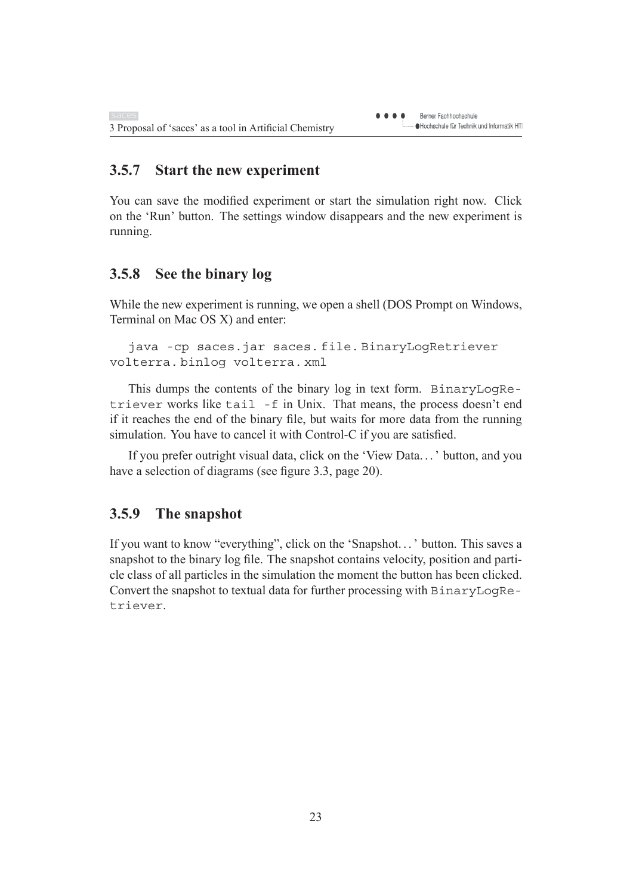### **3.5.7 Start the new experiment**

You can save the modified experiment or start the simulation right now. Click on the 'Run' button. The settings window disappears and the new experiment is running.

### **3.5.8 See the binary log**

While the new experiment is running, we open a shell (DOS Prompt on Windows, Terminal on Mac OS X) and enter:

```
java -cp saces.jar saces. file. BinaryLogRetriever
volterra. binlog volterra. xml
```
This dumps the contents of the binary log in text form. BinaryLogRetriever works like tail -f in Unix. That means, the process doesn't end if it reaches the end of the binary file, but waits for more data from the running simulation. You have to cancel it with Control-C if you are satisfied.

If you prefer outright visual data, click on the 'View Data. . . ' button, and you have a selection of diagrams (see figure 3.3, page 20).

### **3.5.9 The snapshot**

If you want to know "everything", click on the 'Snapshot. . . ' button. This saves a snapshot to the binary log file. The snapshot contains velocity, position and particle class of all particles in the simulation the moment the button has been clicked. Convert the snapshot to textual data for further processing with BinaryLogRetriever.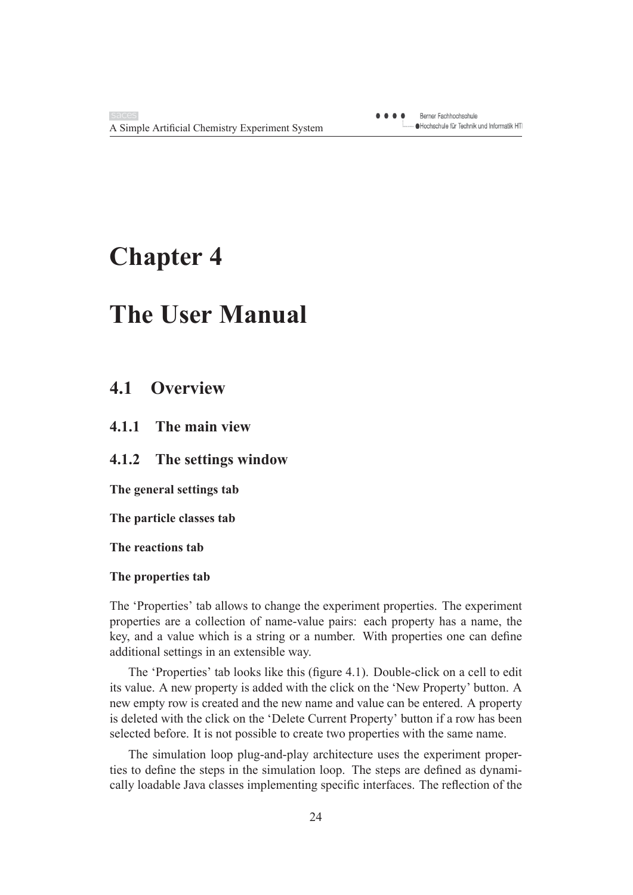## **Chapter 4**

## **The User Manual**

## **4.1 Overview**

**4.1.1 The main view**

### **4.1.2 The settings window**

**The general settings tab**

**The particle classes tab**

**The reactions tab**

#### **The properties tab**

The 'Properties' tab allows to change the experiment properties. The experiment properties are a collection of name-value pairs: each property has a name, the key, and a value which is a string or a number. With properties one can define additional settings in an extensible way.

The 'Properties' tab looks like this (figure 4.1). Double-click on a cell to edit its value. A new property is added with the click on the 'New Property' button. A new empty row is created and the new name and value can be entered. A property is deleted with the click on the 'Delete Current Property' button if a row has been selected before. It is not possible to create two properties with the same name.

The simulation loop plug-and-play architecture uses the experiment properties to define the steps in the simulation loop. The steps are defined as dynamically loadable Java classes implementing specific interfaces. The reflection of the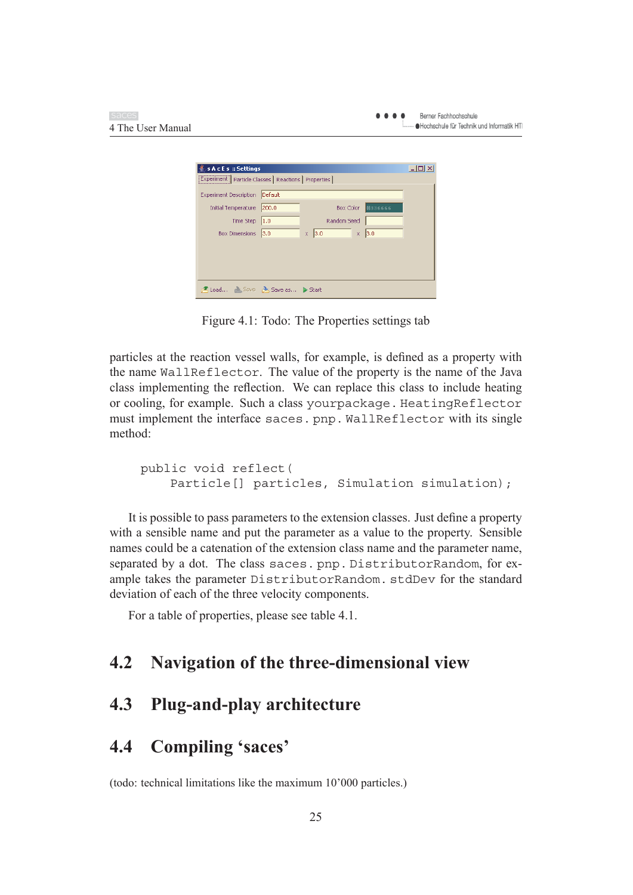| saces             | $\bullet\bullet\bullet\bullet$<br>Berner Fachhochschule |
|-------------------|---------------------------------------------------------|
| 4 The User Manual | i ●Hochschule für Technik und Informatik HTI            |

| SACES :: Settings<br>Experiment   Particle Classes   Reactions   Properties |         |                              |  |  |
|-----------------------------------------------------------------------------|---------|------------------------------|--|--|
| <b>Experiment Description</b>                                               | Default |                              |  |  |
| <b>Initial Temperature</b>                                                  | 200.0   | #336666<br>Box Color         |  |  |
| Time Step                                                                   | 1.0     | Random Seed                  |  |  |
| <b>Box Dimensions</b>                                                       | 3.0     | $\times$ 3.0<br>$\times$ 3.0 |  |  |
|                                                                             |         |                              |  |  |
|                                                                             |         |                              |  |  |
|                                                                             |         |                              |  |  |
| Load Save & Save as > Start                                                 |         |                              |  |  |

Figure 4.1: Todo: The Properties settings tab

particles at the reaction vessel walls, for example, is defined as a property with the name WallReflector. The value of the property is the name of the Java class implementing the reflection. We can replace this class to include heating or cooling, for example. Such a class yourpackage. HeatingReflector must implement the interface saces. pnp. WallReflector with its single method:

```
public void reflect(
   Particle[] particles, Simulation simulation);
```
It is possible to pass parameters to the extension classes. Just define a property with a sensible name and put the parameter as a value to the property. Sensible names could be a catenation of the extension class name and the parameter name, separated by a dot. The class saces. pnp. DistributorRandom, for example takes the parameter DistributorRandom. stdDev for the standard deviation of each of the three velocity components.

For a table of properties, please see table 4.1.

## **4.2 Navigation of the three-dimensional view**

## **4.3 Plug-and-play architecture**

## **4.4 Compiling 'saces'**

(todo: technical limitations like the maximum 10'000 particles.)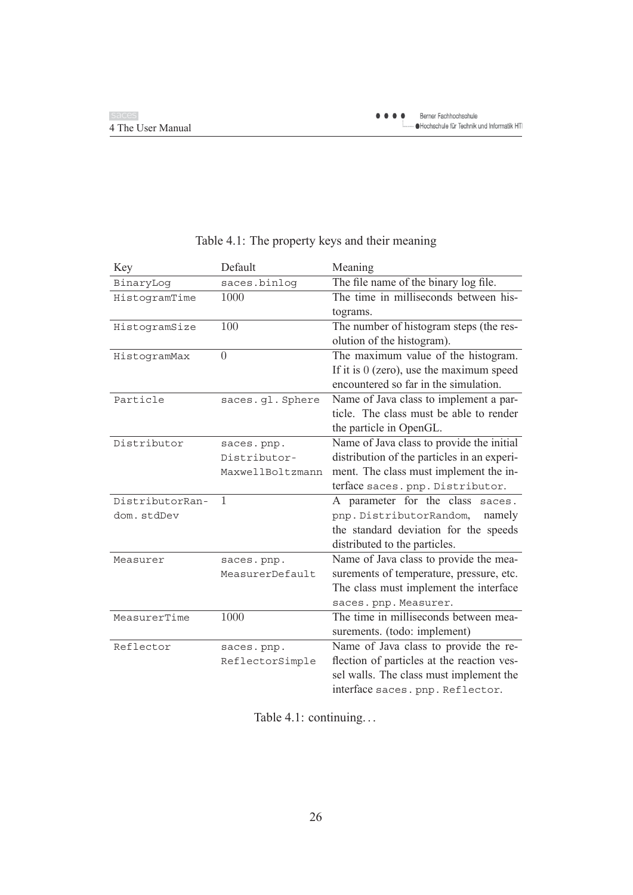| Key             | Default          | Meaning                                     |
|-----------------|------------------|---------------------------------------------|
| BinaryLog       | saces.binlog     | The file name of the binary log file.       |
| HistogramTime   | 1000             | The time in milliseconds between his-       |
|                 |                  | tograms.                                    |
| HistogramSize   | 100              | The number of histogram steps (the res-     |
|                 |                  | olution of the histogram).                  |
| HistogramMax    | $\theta$         | The maximum value of the histogram.         |
|                 |                  | If it is $0$ (zero), use the maximum speed  |
|                 |                  | encountered so far in the simulation.       |
| Particle        | saces.gl. Sphere | Name of Java class to implement a par-      |
|                 |                  | ticle. The class must be able to render     |
|                 |                  | the particle in OpenGL.                     |
| Distributor     | saces.pnp.       | Name of Java class to provide the initial   |
|                 | Distributor-     | distribution of the particles in an experi- |
|                 | MaxwellBoltzmann | ment. The class must implement the in-      |
|                 |                  | terface saces. pnp. Distributor.            |
| DistributorRan- | 1                | A parameter for the class saces.            |
| dom.stdDev      |                  | pnp. DistributorRandom,<br>namely           |
|                 |                  | the standard deviation for the speeds       |
|                 |                  | distributed to the particles.               |
| Measurer        | saces.pnp.       | Name of Java class to provide the mea-      |
|                 | MeasurerDefault  | surements of temperature, pressure, etc.    |
|                 |                  | The class must implement the interface      |
|                 |                  | saces.pnp. Measurer.                        |
| MeasurerTime    | 1000             | The time in milliseconds between mea-       |
|                 |                  | surements. (todo: implement)                |
| Reflector       | saces.pnp.       | Name of Java class to provide the re-       |
|                 | ReflectorSimple  | flection of particles at the reaction ves-  |
|                 |                  | sel walls. The class must implement the     |
|                 |                  | interface saces. pnp. Reflector.            |

## Table 4.1: The property keys and their meaning

Table 4.1: continuing. . .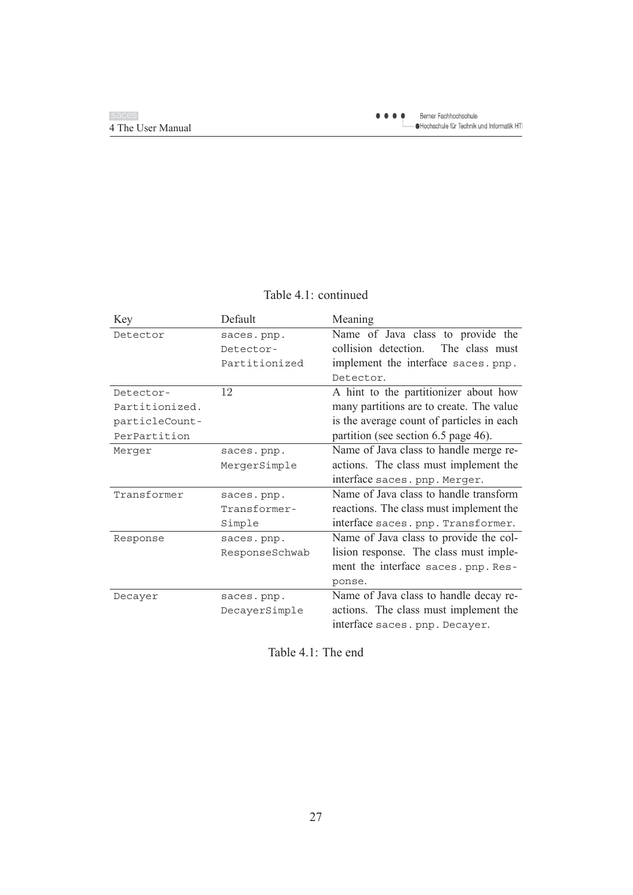| Key            | Default        | Meaning                                   |
|----------------|----------------|-------------------------------------------|
|                |                | Name of Java class to provide the         |
| Detector       | saces.pnp.     |                                           |
|                | Detector-      | The class must<br>collision detection.    |
|                | Partitionized  | implement the interface saces. pnp.       |
|                |                | Detector.                                 |
| Detector-      | 12             | A hint to the partitionizer about how     |
| Partitionized. |                | many partitions are to create. The value  |
| particleCount- |                | is the average count of particles in each |
| PerPartition   |                | partition (see section 6.5 page 46).      |
| Merger         | saces.pnp.     | Name of Java class to handle merge re-    |
|                | MergerSimple   | actions. The class must implement the     |
|                |                | interface saces. pnp. Merger.             |
| Transformer    | saces.pnp.     | Name of Java class to handle transform    |
|                | Transformer-   | reactions. The class must implement the   |
|                | Simple         | interface saces. pnp. Transformer.        |
| Response       | saces.pnp.     | Name of Java class to provide the col-    |
|                | ResponseSchwab | lision response. The class must imple-    |
|                |                | ment the interface saces. pnp. Res-       |
|                |                | ponse.                                    |
| Decayer        | saces.pnp.     | Name of Java class to handle decay re-    |
|                | DecayerSimple  | actions. The class must implement the     |
|                |                | interface saces. pnp. Decayer.            |

#### Table 4.1: continued

Table 4.1: The end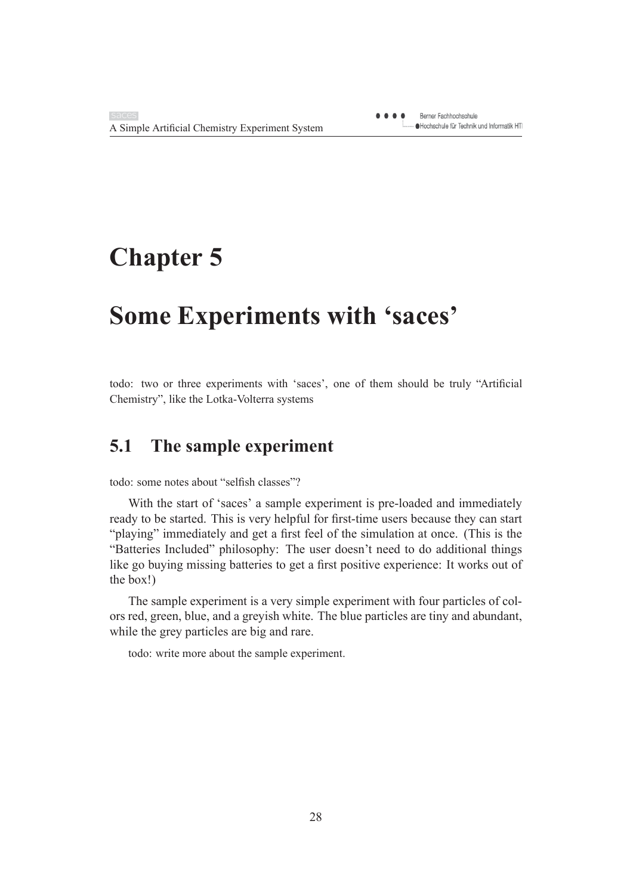## **Chapter 5**

## **Some Experiments with 'saces'**

todo: two or three experiments with 'saces', one of them should be truly "Artificial Chemistry", like the Lotka-Volterra systems

## **5.1 The sample experiment**

todo: some notes about "selfish classes"?

With the start of 'saces' a sample experiment is pre-loaded and immediately ready to be started. This is very helpful for first-time users because they can start "playing" immediately and get a first feel of the simulation at once. (This is the "Batteries Included" philosophy: The user doesn't need to do additional things like go buying missing batteries to get a first positive experience: It works out of the box!)

The sample experiment is a very simple experiment with four particles of colors red, green, blue, and a greyish white. The blue particles are tiny and abundant, while the grey particles are big and rare.

todo: write more about the sample experiment.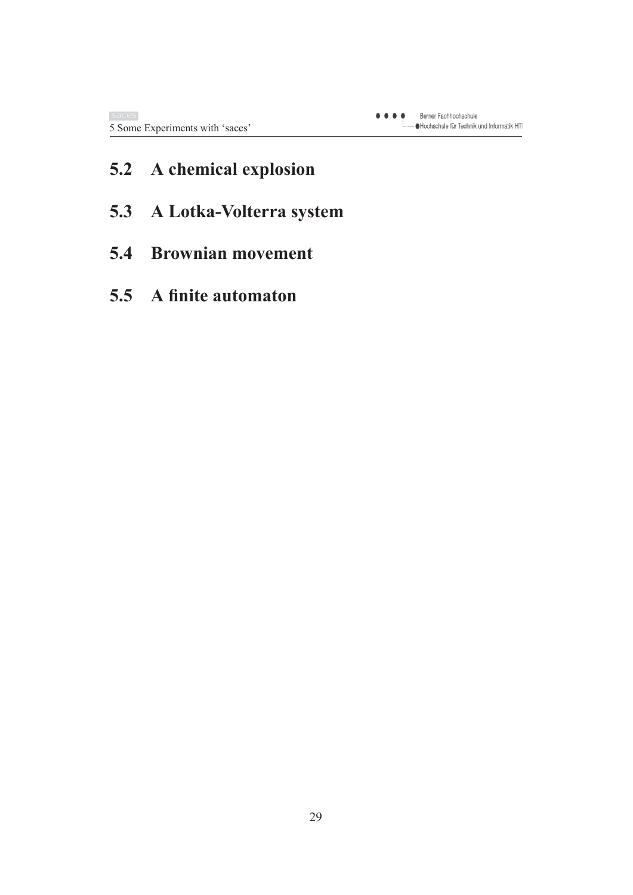## **5.2 A chemical explosion**

- **5.3 A Lotka-Volterra system**
- **5.4 Brownian movement**
- **5.5 A finite automaton**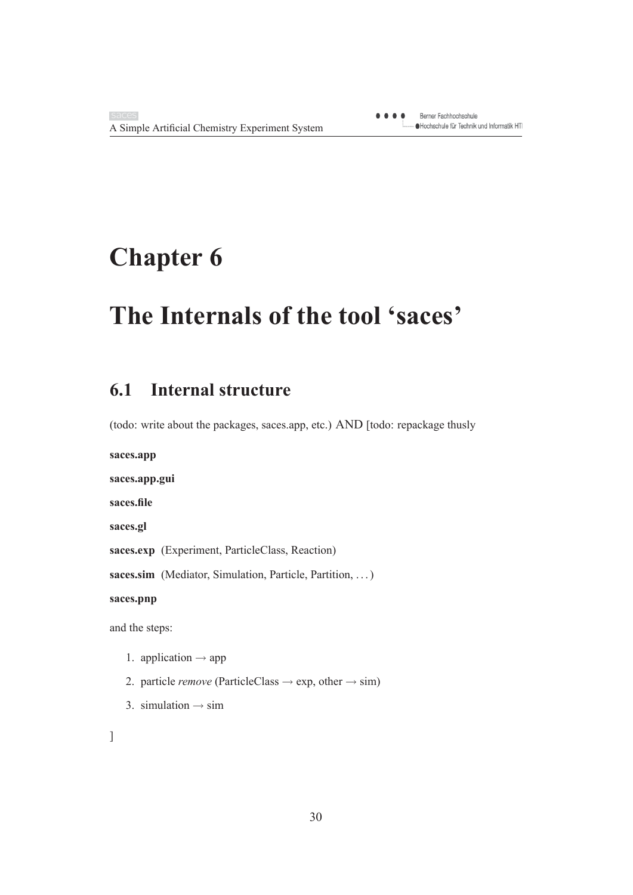## **Chapter 6**

# **The Internals of the tool 'saces'**

## **6.1 Internal structure**

(todo: write about the packages, saces.app, etc.) AND [todo: repackage thusly

**saces.app saces.app.gui saces.file saces.gl saces.exp** (Experiment, ParticleClass, Reaction) saces.sim (Mediator, Simulation, Particle, Partition, ...) **saces.pnp** and the steps: 1. application  $\rightarrow$  app

- 2. particle *remove* (ParticleClass  $\rightarrow$  exp, other  $\rightarrow$  sim)
- 3. simulation  $\rightarrow$  sim

]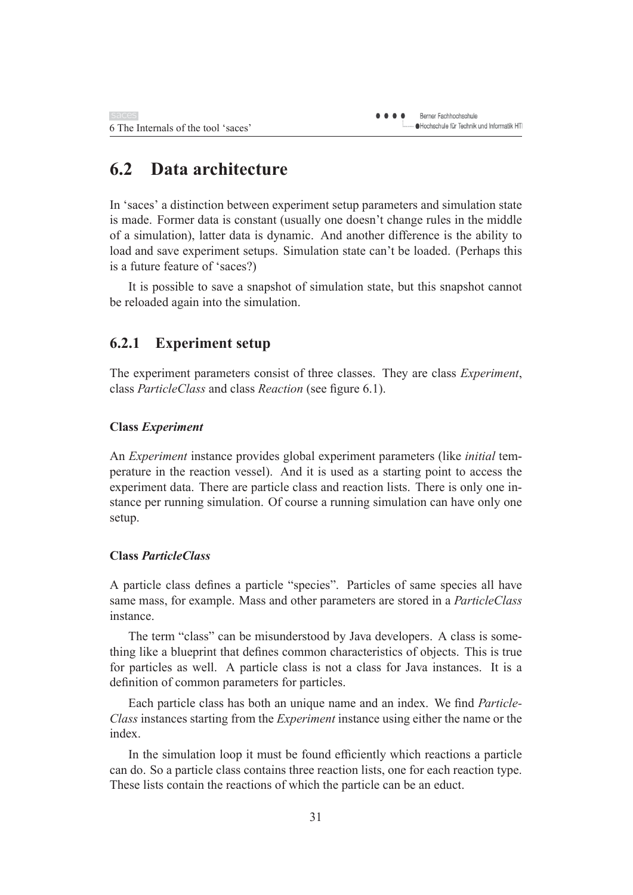## **6.2 Data architecture**

In 'saces' a distinction between experiment setup parameters and simulation state is made. Former data is constant (usually one doesn't change rules in the middle of a simulation), latter data is dynamic. And another difference is the ability to load and save experiment setups. Simulation state can't be loaded. (Perhaps this is a future feature of 'saces?)

It is possible to save a snapshot of simulation state, but this snapshot cannot be reloaded again into the simulation.

### **6.2.1 Experiment setup**

The experiment parameters consist of three classes. They are class *Experiment*, class *ParticleClass* and class *Reaction* (see figure 6.1).

#### **Class** *Experiment*

An *Experiment* instance provides global experiment parameters (like *initial* temperature in the reaction vessel). And it is used as a starting point to access the experiment data. There are particle class and reaction lists. There is only one instance per running simulation. Of course a running simulation can have only one setup.

#### **Class** *ParticleClass*

A particle class defines a particle "species". Particles of same species all have same mass, for example. Mass and other parameters are stored in a *ParticleClass* instance.

The term "class" can be misunderstood by Java developers. A class is something like a blueprint that defines common characteristics of objects. This is true for particles as well. A particle class is not a class for Java instances. It is a definition of common parameters for particles.

Each particle class has both an unique name and an index. We find *Particle-Class* instances starting from the *Experiment* instance using either the name or the index.

In the simulation loop it must be found efficiently which reactions a particle can do. So a particle class contains three reaction lists, one for each reaction type. These lists contain the reactions of which the particle can be an educt.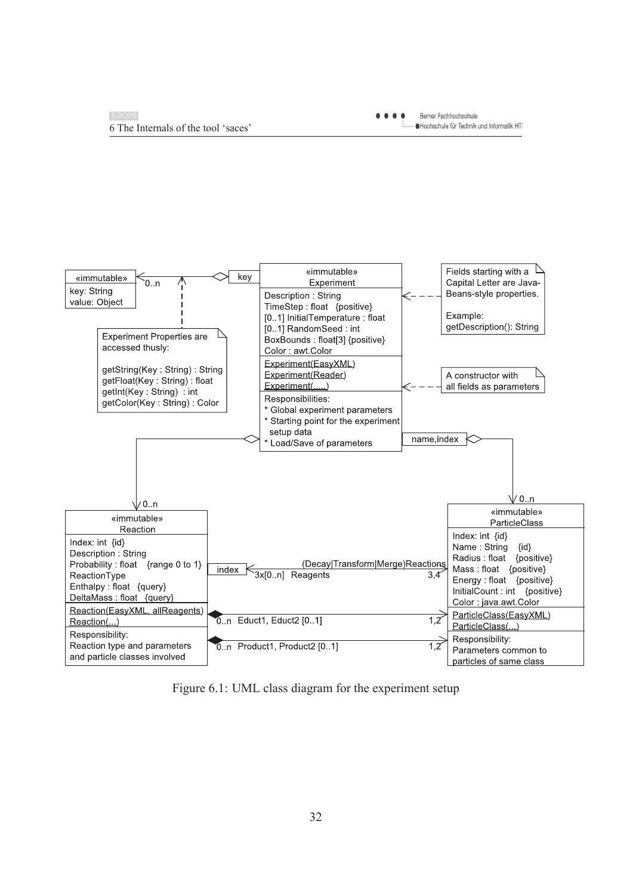

Figure 6.1: UML class diagram for the experiment setup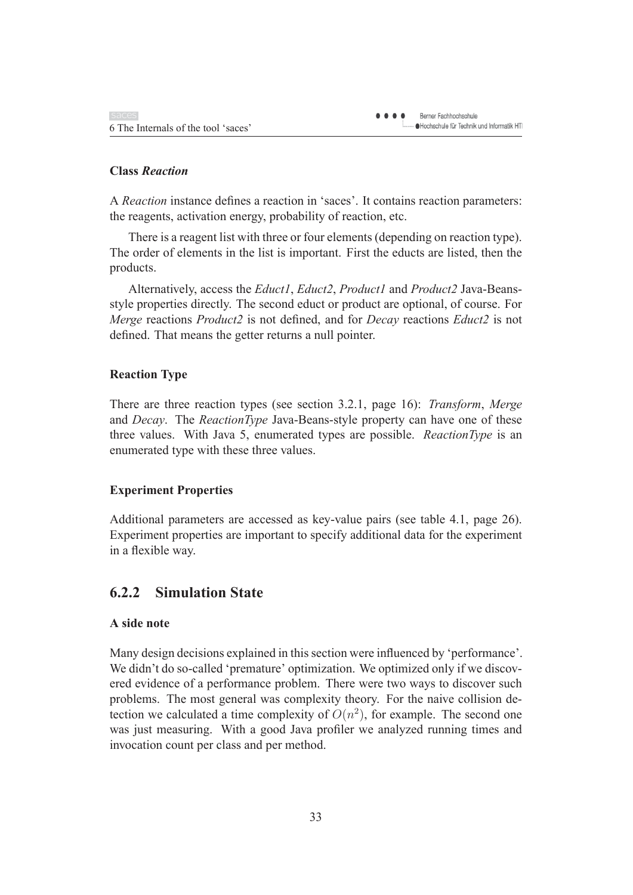#### **Class** *Reaction*

A *Reaction* instance defines a reaction in 'saces'. It contains reaction parameters: the reagents, activation energy, probability of reaction, etc.

There is a reagent list with three or four elements (depending on reaction type). The order of elements in the list is important. First the educts are listed, then the products.

Alternatively, access the *Educt1*, *Educt2*, *Product1* and *Product2* Java-Beansstyle properties directly. The second educt or product are optional, of course. For *Merge* reactions *Product2* is not defined, and for *Decay* reactions *Educt2* is not defined. That means the getter returns a null pointer.

#### **Reaction Type**

There are three reaction types (see section 3.2.1, page 16): *Transform*, *Merge* and *Decay*. The *ReactionType* Java-Beans-style property can have one of these three values. With Java 5, enumerated types are possible. *ReactionType* is an enumerated type with these three values.

#### **Experiment Properties**

Additional parameters are accessed as key-value pairs (see table 4.1, page 26). Experiment properties are important to specify additional data for the experiment in a flexible way.

### **6.2.2 Simulation State**

#### **A side note**

Many design decisions explained in this section were influenced by 'performance'. We didn't do so-called 'premature' optimization. We optimized only if we discovered evidence of a performance problem. There were two ways to discover such problems. The most general was complexity theory. For the naive collision detection we calculated a time complexity of  $O(n^2)$ , for example. The second one was just measuring. With a good Java profiler we analyzed running times and invocation count per class and per method.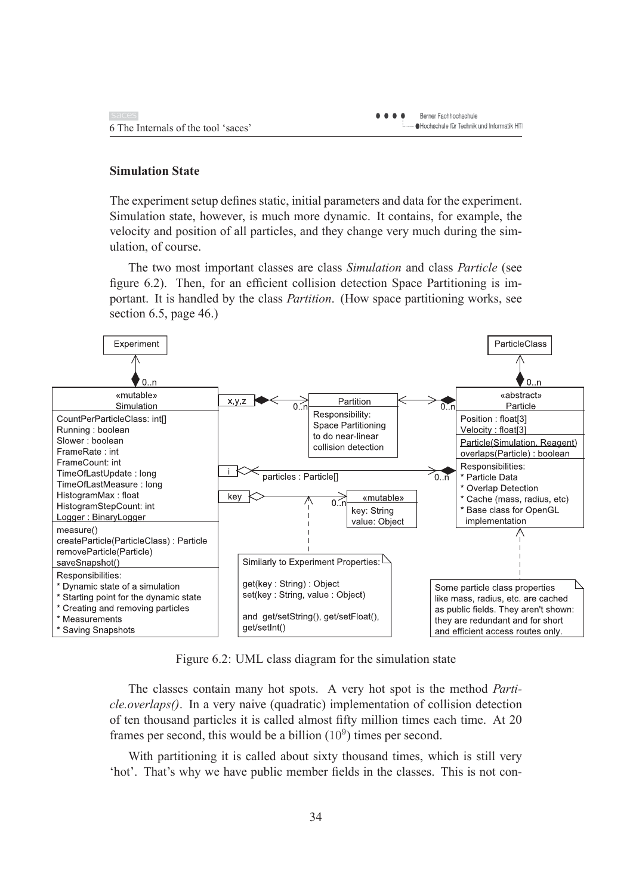#### **Simulation State**

The experiment setup defines static, initial parameters and data for the experiment. Simulation state, however, is much more dynamic. It contains, for example, the velocity and position of all particles, and they change very much during the simulation, of course.

The two most important classes are class *Simulation* and class *Particle* (see figure 6.2). Then, for an efficient collision detection Space Partitioning is important. It is handled by the class *Partition*. (How space partitioning works, see section 6.5, page 46.)



Figure 6.2: UML class diagram for the simulation state

The classes contain many hot spots. A very hot spot is the method *Particle.overlaps()*. In a very naive (quadratic) implementation of collision detection of ten thousand particles it is called almost fifty million times each time. At 20 frames per second, this would be a billion  $(10^9)$  times per second.

With partitioning it is called about sixty thousand times, which is still very 'hot'. That's why we have public member fields in the classes. This is not con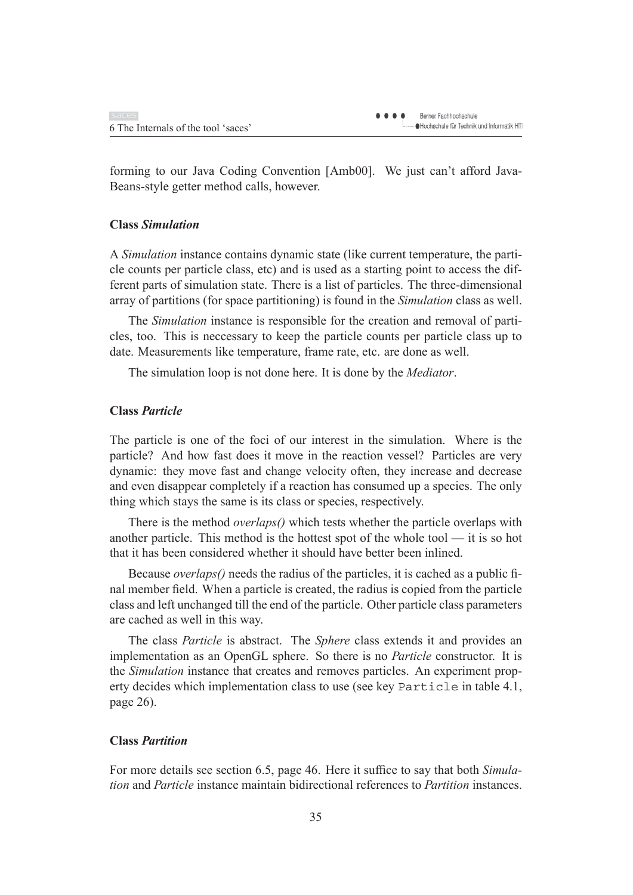forming to our Java Coding Convention [Amb00]. We just can't afford Java-Beans-style getter method calls, however.

#### **Class** *Simulation*

A *Simulation* instance contains dynamic state (like current temperature, the particle counts per particle class, etc) and is used as a starting point to access the different parts of simulation state. There is a list of particles. The three-dimensional array of partitions (for space partitioning) is found in the *Simulation* class as well.

The *Simulation* instance is responsible for the creation and removal of particles, too. This is neccessary to keep the particle counts per particle class up to date. Measurements like temperature, frame rate, etc. are done as well.

The simulation loop is not done here. It is done by the *Mediator*.

#### **Class** *Particle*

The particle is one of the foci of our interest in the simulation. Where is the particle? And how fast does it move in the reaction vessel? Particles are very dynamic: they move fast and change velocity often, they increase and decrease and even disappear completely if a reaction has consumed up a species. The only thing which stays the same is its class or species, respectively.

There is the method *overlaps()* which tests whether the particle overlaps with another particle. This method is the hottest spot of the whole tool — it is so hot that it has been considered whether it should have better been inlined.

Because *overlaps()* needs the radius of the particles, it is cached as a public final member field. When a particle is created, the radius is copied from the particle class and left unchanged till the end of the particle. Other particle class parameters are cached as well in this way.

The class *Particle* is abstract. The *Sphere* class extends it and provides an implementation as an OpenGL sphere. So there is no *Particle* constructor. It is the *Simulation* instance that creates and removes particles. An experiment property decides which implementation class to use (see key Particle in table 4.1, page 26).

#### **Class** *Partition*

For more details see section 6.5, page 46. Here it suffice to say that both *Simulation* and *Particle* instance maintain bidirectional references to *Partition* instances.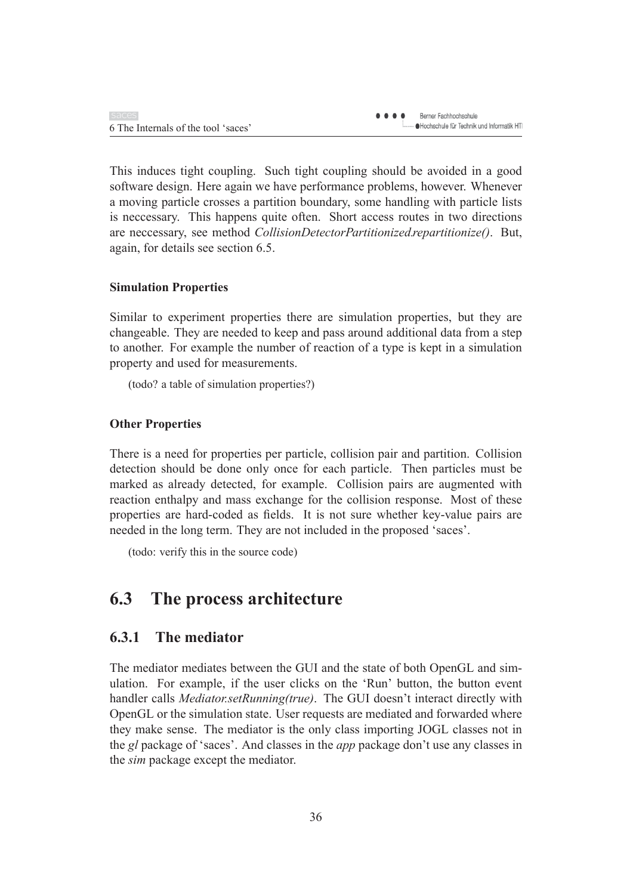This induces tight coupling. Such tight coupling should be avoided in a good software design. Here again we have performance problems, however. Whenever a moving particle crosses a partition boundary, some handling with particle lists is neccessary. This happens quite often. Short access routes in two directions are neccessary, see method *CollisionDetectorPartitionized.repartitionize()*. But, again, for details see section 6.5.

#### **Simulation Properties**

Similar to experiment properties there are simulation properties, but they are changeable. They are needed to keep and pass around additional data from a step to another. For example the number of reaction of a type is kept in a simulation property and used for measurements.

(todo? a table of simulation properties?)

#### **Other Properties**

There is a need for properties per particle, collision pair and partition. Collision detection should be done only once for each particle. Then particles must be marked as already detected, for example. Collision pairs are augmented with reaction enthalpy and mass exchange for the collision response. Most of these properties are hard-coded as fields. It is not sure whether key-value pairs are needed in the long term. They are not included in the proposed 'saces'.

(todo: verify this in the source code)

## **6.3 The process architecture**

### **6.3.1 The mediator**

The mediator mediates between the GUI and the state of both OpenGL and simulation. For example, if the user clicks on the 'Run' button, the button event handler calls *Mediator.setRunning(true)*. The GUI doesn't interact directly with OpenGL or the simulation state. User requests are mediated and forwarded where they make sense. The mediator is the only class importing JOGL classes not in the *gl* package of 'saces'. And classes in the *app* package don't use any classes in the *sim* package except the mediator.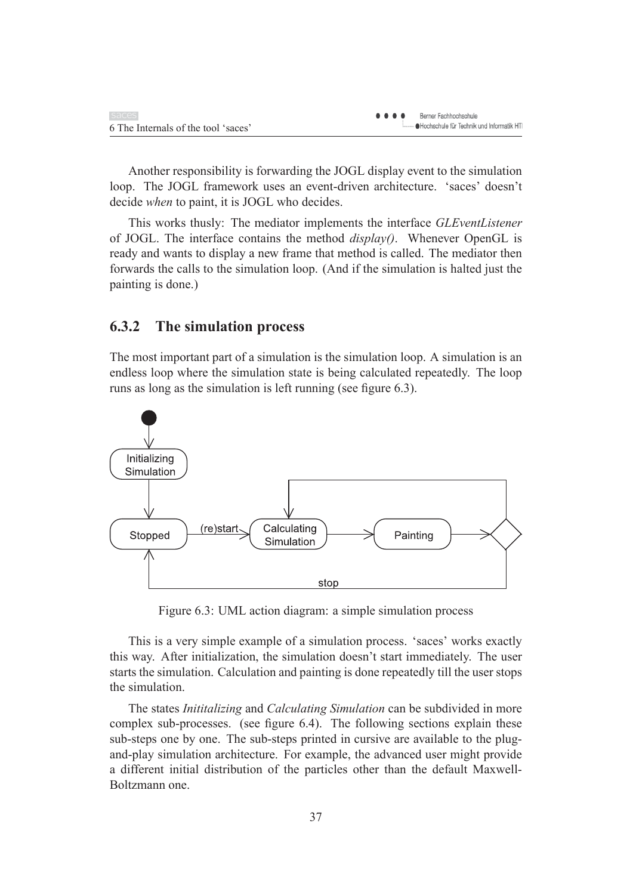Another responsibility is forwarding the JOGL display event to the simulation loop. The JOGL framework uses an event-driven architecture. 'saces' doesn't decide *when* to paint, it is JOGL who decides.

This works thusly: The mediator implements the interface *GLEventListener* of JOGL. The interface contains the method *display()*. Whenever OpenGL is ready and wants to display a new frame that method is called. The mediator then forwards the calls to the simulation loop. (And if the simulation is halted just the painting is done.)

### **6.3.2 The simulation process**

The most important part of a simulation is the simulation loop. A simulation is an endless loop where the simulation state is being calculated repeatedly. The loop runs as long as the simulation is left running (see figure 6.3).



Figure 6.3: UML action diagram: a simple simulation process

This is a very simple example of a simulation process. 'saces' works exactly this way. After initialization, the simulation doesn't start immediately. The user starts the simulation. Calculation and painting is done repeatedly till the user stops the simulation.

The states *Inititalizing* and *Calculating Simulation* can be subdivided in more complex sub-processes. (see figure 6.4). The following sections explain these sub-steps one by one. The sub-steps printed in cursive are available to the plugand-play simulation architecture. For example, the advanced user might provide a different initial distribution of the particles other than the default Maxwell-Boltzmann one.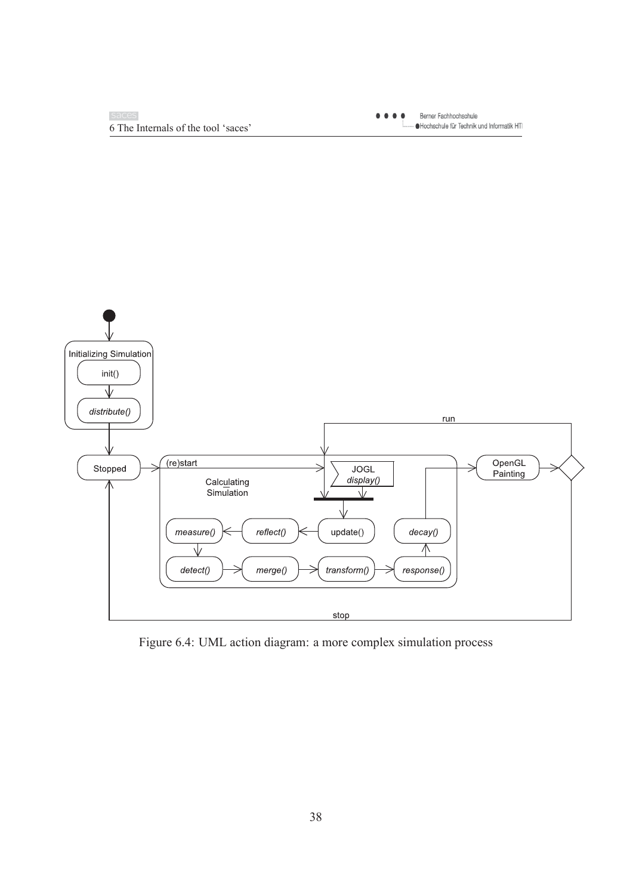$\bullet$ 



Figure 6.4: UML action diagram: a more complex simulation process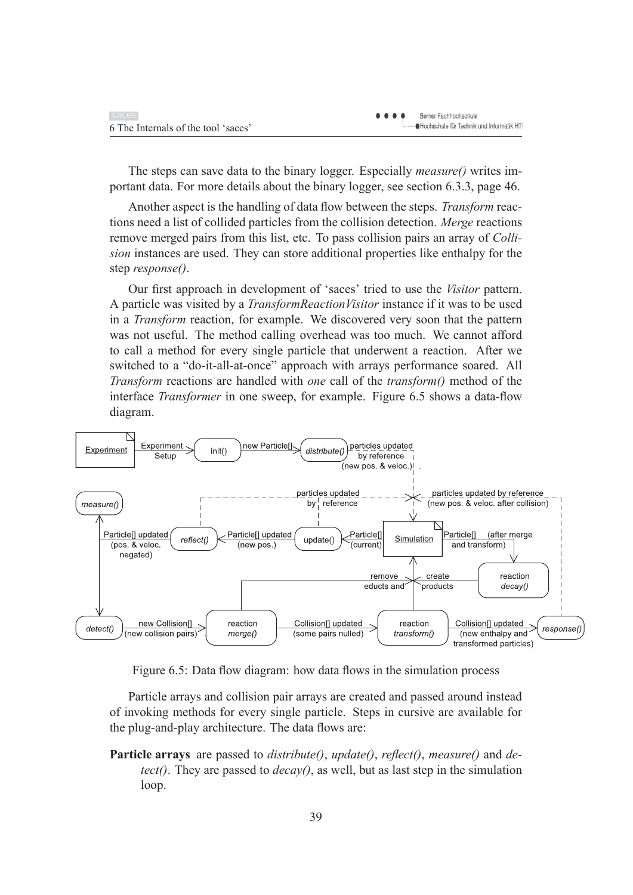| saces                               | Berner Fachhochschule<br>$\bullet\bullet\bullet\bullet$ |
|-------------------------------------|---------------------------------------------------------|
| 6 The Internals of the tool 'saces' | Hochschule für Technik und Informatik HTI               |

The steps can save data to the binary logger. Especially *measure()* writes important data. For more details about the binary logger, see section 6.3.3, page 46.

Another aspect is the handling of data flow between the steps. *Transform* reactions need a list of collided particles from the collision detection. *Merge* reactions remove merged pairs from this list, etc. To pass collision pairs an array of *Collision* instances are used. They can store additional properties like enthalpy for the step *response()*.

Our first approach in development of 'saces' tried to use the *Visitor* pattern. A particle was visited by a *TransformReactionVisitor* instance if it was to be used in a *Transform* reaction, for example. We discovered very soon that the pattern was not useful. The method calling overhead was too much. We cannot afford to call a method for every single particle that underwent a reaction. After we switched to a "do-it-all-at-once" approach with arrays performance soared. All *Transform* reactions are handled with *one* call of the *transform()* method of the interface *Transformer* in one sweep, for example. Figure 6.5 shows a data-flow diagram.



Figure 6.5: Data flow diagram: how data flows in the simulation process

Particle arrays and collision pair arrays are created and passed around instead of invoking methods for every single particle. Steps in cursive are available for the plug-and-play architecture. The data flows are:

**Particle arrays** are passed to *distribute()*, *update()*, *reflect()*, *measure()* and *detect()*. They are passed to *decay()*, as well, but as last step in the simulation loop.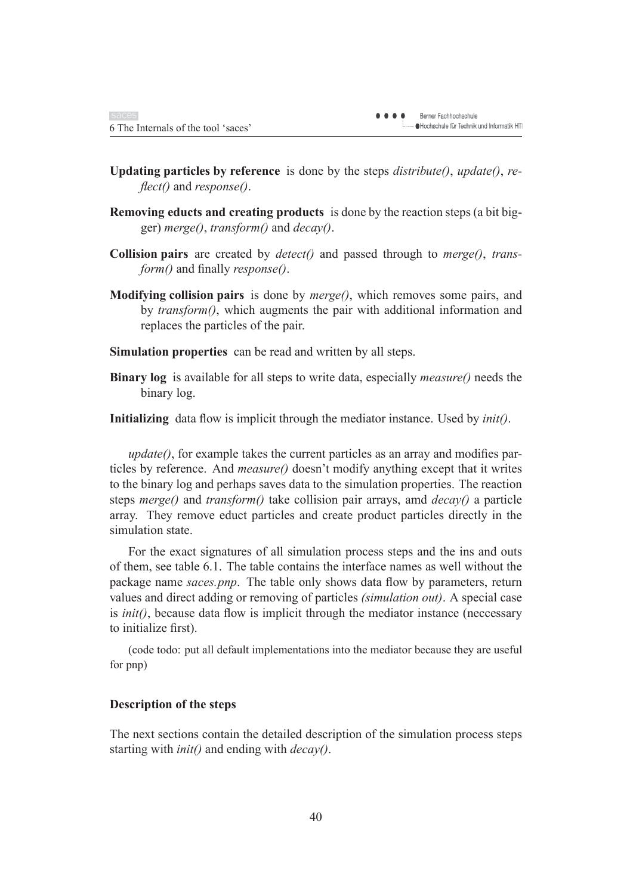- **Updating particles by reference** is done by the steps *distribute()*, *update()*, *reflect()* and *response()*.
- **Removing educts and creating products** is done by the reaction steps (a bit bigger) *merge()*, *transform()* and *decay()*.
- **Collision pairs** are created by *detect()* and passed through to *merge()*, *transform()* and finally *response()*.
- **Modifying collision pairs** is done by *merge()*, which removes some pairs, and by *transform()*, which augments the pair with additional information and replaces the particles of the pair.
- **Simulation properties** can be read and written by all steps.
- **Binary log** is available for all steps to write data, especially *measure()* needs the binary log.

**Initializing** data flow is implicit through the mediator instance. Used by *init()*.

*update()*, for example takes the current particles as an array and modifies particles by reference. And *measure()* doesn't modify anything except that it writes to the binary log and perhaps saves data to the simulation properties. The reaction steps *merge()* and *transform()* take collision pair arrays, amd *decay()* a particle array. They remove educt particles and create product particles directly in the simulation state.

For the exact signatures of all simulation process steps and the ins and outs of them, see table 6.1. The table contains the interface names as well without the package name *saces.pnp*. The table only shows data flow by parameters, return values and direct adding or removing of particles *(simulation out)*. A special case is *init()*, because data flow is implicit through the mediator instance (neccessary to initialize first).

(code todo: put all default implementations into the mediator because they are useful for pnp)

#### **Description of the steps**

The next sections contain the detailed description of the simulation process steps starting with *init()* and ending with *decay()*.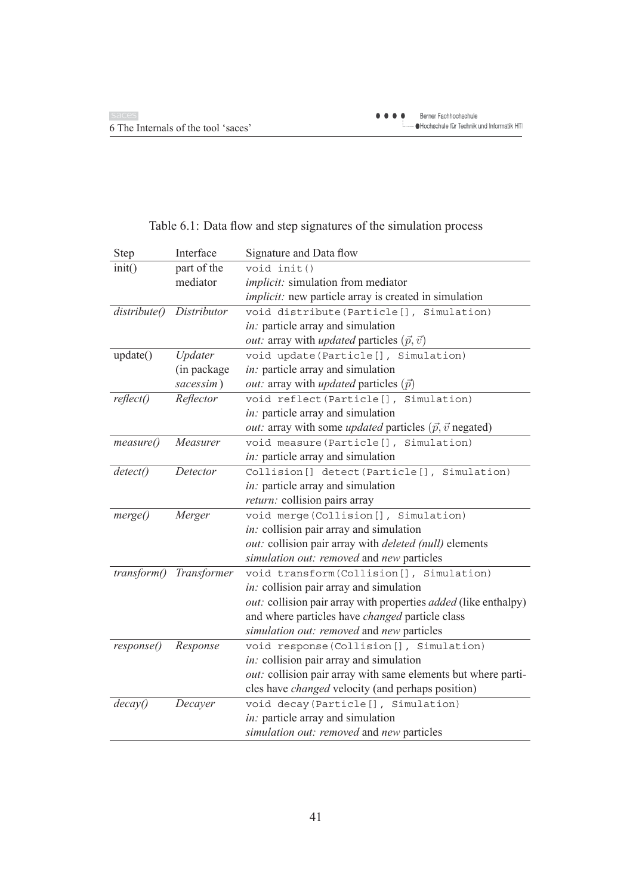|  | Table 6.1: Data flow and step signatures of the simulation process |
|--|--------------------------------------------------------------------|
|  |                                                                    |

| Step         | Interface   | Signature and Data flow                                                            |
|--------------|-------------|------------------------------------------------------------------------------------|
| init()       | part of the | void init()                                                                        |
|              | mediator    | implicit: simulation from mediator                                                 |
|              |             | implicit: new particle array is created in simulation                              |
| distribute() | Distributor | void distribute (Particle [], Simulation)                                          |
|              |             | in: particle array and simulation                                                  |
|              |             | <i>out:</i> array with <i>updated</i> particles $(\vec{p}, \vec{v})$               |
| update()     | Updater     | void update (Particle [], Simulation)                                              |
|              | (in package | in: particle array and simulation                                                  |
|              | sacessim)   | <i>out:</i> array with <i>updated</i> particles $(\vec{p})$                        |
| reflect()    | Reflector   | void reflect (Particle [], Simulation)                                             |
|              |             | in: particle array and simulation                                                  |
|              |             | <i>out:</i> array with some <i>updated</i> particles $(\vec{p}, \vec{v})$ negated) |
| measure()    | Measurer    | void measure (Particle[], Simulation)                                              |
|              |             | in: particle array and simulation                                                  |
| detect()     | Detector    | Collision [] detect (Particle [], Simulation)                                      |
|              |             | in: particle array and simulation                                                  |
|              |             | return: collision pairs array                                                      |
| merge()      | Merger      | void merge (Collision [], Simulation)                                              |
|              |             | in: collision pair array and simulation                                            |
|              |             | out: collision pair array with deleted (null) elements                             |
|              |             | simulation out: removed and new particles                                          |
| transform()  | Transformer | void transform (Collision [], Simulation)                                          |
|              |             | in: collision pair array and simulation                                            |
|              |             | out: collision pair array with properties added (like enthalpy)                    |
|              |             | and where particles have <i>changed</i> particle class                             |
|              |             | simulation out: removed and new particles                                          |
| response()   | Response    | void response(Collision[], Simulation)                                             |
|              |             | in: collision pair array and simulation                                            |
|              |             | out: collision pair array with same elements but where parti-                      |
|              |             | cles have <i>changed</i> velocity (and perhaps position)                           |
| decay()      | Decayer     | void decay (Particle [], Simulation)                                               |
|              |             | in: particle array and simulation                                                  |
|              |             | simulation out: removed and new particles                                          |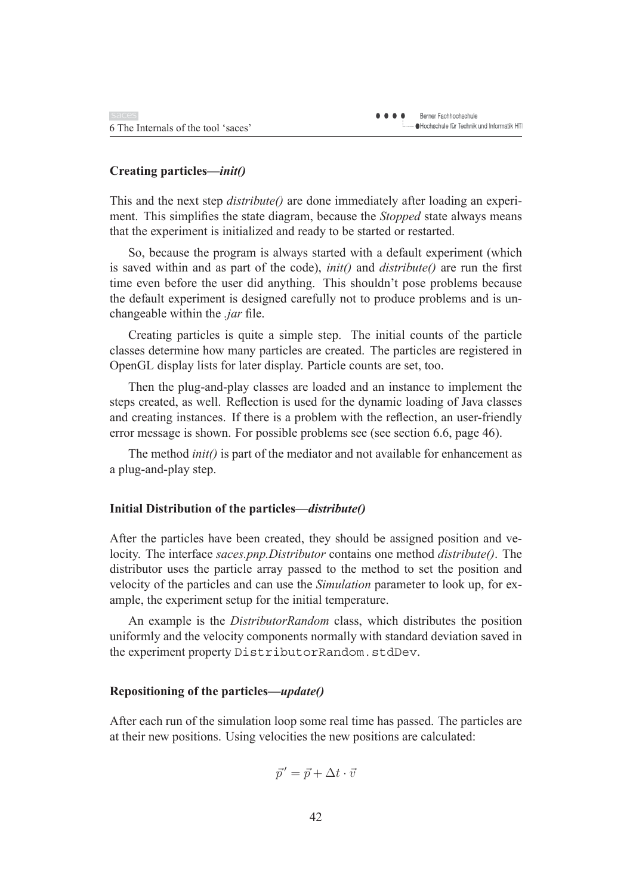#### **Creating particles—***init()*

This and the next step *distribute()* are done immediately after loading an experiment. This simplifies the state diagram, because the *Stopped* state always means that the experiment is initialized and ready to be started or restarted.

So, because the program is always started with a default experiment (which is saved within and as part of the code), *init()* and *distribute()* are run the first time even before the user did anything. This shouldn't pose problems because the default experiment is designed carefully not to produce problems and is unchangeable within the *.jar* file.

Creating particles is quite a simple step. The initial counts of the particle classes determine how many particles are created. The particles are registered in OpenGL display lists for later display. Particle counts are set, too.

Then the plug-and-play classes are loaded and an instance to implement the steps created, as well. Reflection is used for the dynamic loading of Java classes and creating instances. If there is a problem with the reflection, an user-friendly error message is shown. For possible problems see (see section 6.6, page 46).

The method *init()* is part of the mediator and not available for enhancement as a plug-and-play step.

#### **Initial Distribution of the particles—***distribute()*

After the particles have been created, they should be assigned position and velocity. The interface *saces.pnp.Distributor* contains one method *distribute()*. The distributor uses the particle array passed to the method to set the position and velocity of the particles and can use the *Simulation* parameter to look up, for example, the experiment setup for the initial temperature.

An example is the *DistributorRandom* class, which distributes the position uniformly and the velocity components normally with standard deviation saved in the experiment property DistributorRandom . stdDev.

#### **Repositioning of the particles—***update()*

After each run of the simulation loop some real time has passed. The particles are at their new positions. Using velocities the new positions are calculated:

$$
\vec{p}^{\,\prime}=\vec{p}+\Delta t\cdot\vec{v}
$$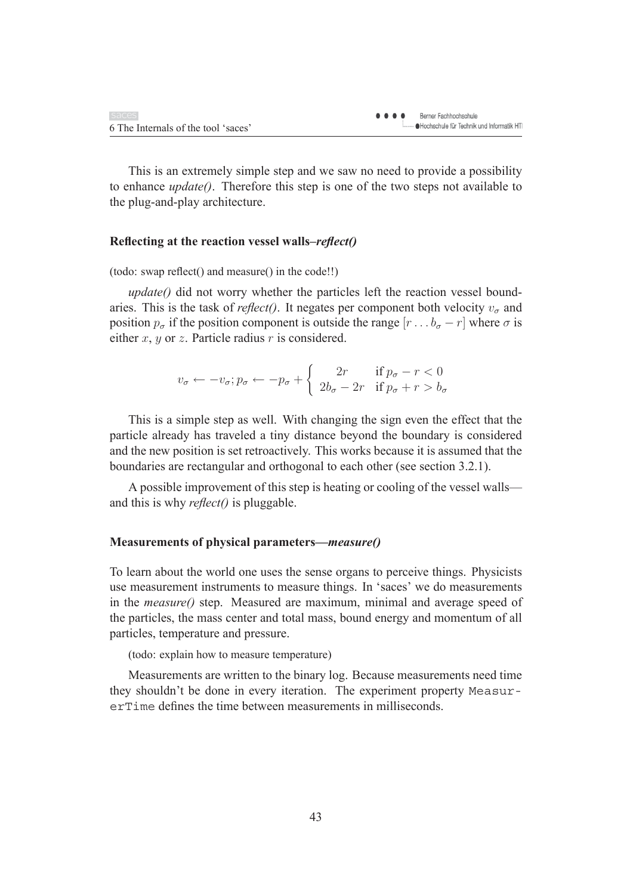This is an extremely simple step and we saw no need to provide a possibility to enhance *update()*. Therefore this step is one of the two steps not available to the plug-and-play architecture.

#### **Reflecting at the reaction vessel walls–***reflect()*

(todo: swap reflect() and measure() in the code!!)

*update()* did not worry whether the particles left the reaction vessel boundaries. This is the task of *reflect()*. It negates per component both velocity  $v_{\sigma}$  and position  $p_{\sigma}$  if the position component is outside the range  $[r...b_{\sigma}-r]$  where  $\sigma$  is either  $x, y$  or  $z$ . Particle radius  $r$  is considered.

$$
v_{\sigma} \leftarrow -v_{\sigma}; p_{\sigma} \leftarrow -p_{\sigma} + \begin{cases} 2r & \text{if } p_{\sigma} - r < 0 \\ 2b_{\sigma} - 2r & \text{if } p_{\sigma} + r > b_{\sigma} \end{cases}
$$

This is a simple step as well. With changing the sign even the effect that the particle already has traveled a tiny distance beyond the boundary is considered and the new position is set retroactively. This works because it is assumed that the boundaries are rectangular and orthogonal to each other (see section 3.2.1).

A possible improvement of this step is heating or cooling of the vessel walls and this is why *reflect()* is pluggable.

#### **Measurements of physical parameters—***measure()*

To learn about the world one uses the sense organs to perceive things. Physicists use measurement instruments to measure things. In 'saces' we do measurements in the *measure()* step. Measured are maximum, minimal and average speed of the particles, the mass center and total mass, bound energy and momentum of all particles, temperature and pressure.

(todo: explain how to measure temperature)

Measurements are written to the binary log. Because measurements need time they shouldn't be done in every iteration. The experiment property MeasurerTime defines the time between measurements in milliseconds.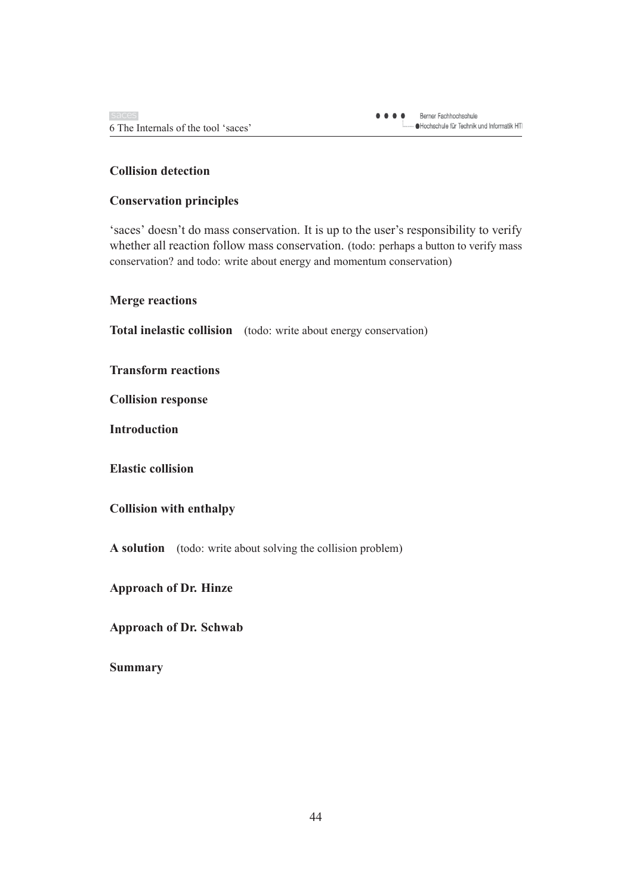### **Collision detection**

#### **Conservation principles**

'saces' doesn't do mass conservation. It is up to the user's responsibility to verify whether all reaction follow mass conservation. (todo: perhaps a button to verify mass conservation? and todo: write about energy and momentum conservation)

**Merge reactions**

**Total inelastic collision** (todo: write about energy conservation)

**Transform reactions**

**Collision response**

**Introduction**

**Elastic collision**

#### **Collision with enthalpy**

**A solution** (todo: write about solving the collision problem)

**Approach of Dr. Hinze**

**Approach of Dr. Schwab**

**Summary**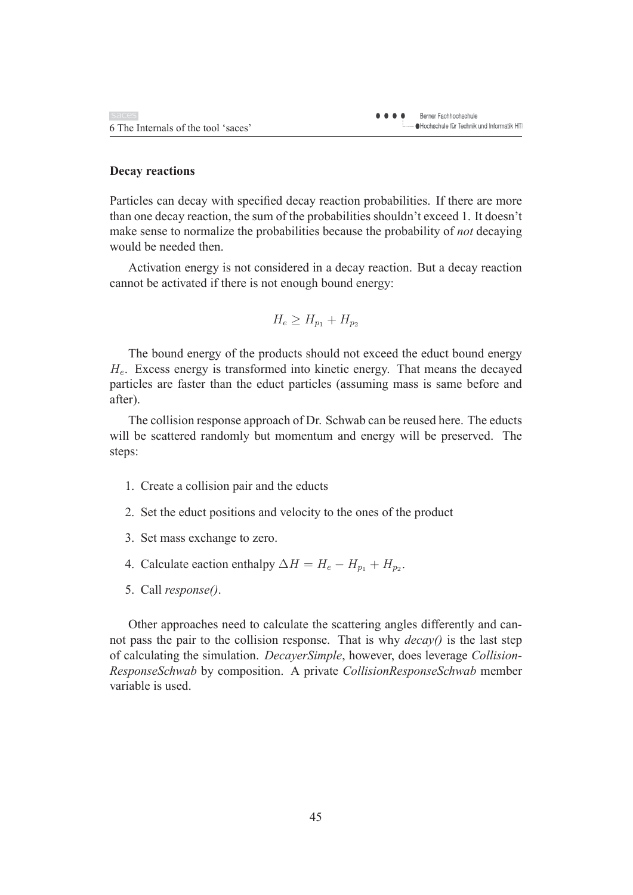#### **Decay reactions**

Particles can decay with specified decay reaction probabilities. If there are more than one decay reaction, the sum of the probabilities shouldn't exceed 1. It doesn't make sense to normalize the probabilities because the probability of *not* decaying would be needed then.

Activation energy is not considered in a decay reaction. But a decay reaction cannot be activated if there is not enough bound energy:

$$
H_e \ge H_{p_1} + H_{p_2}
$$

The bound energy of the products should not exceed the educt bound energy  $H<sub>e</sub>$ . Excess energy is transformed into kinetic energy. That means the decayed particles are faster than the educt particles (assuming mass is same before and after).

The collision response approach of Dr. Schwab can be reused here. The educts will be scattered randomly but momentum and energy will be preserved. The steps:

- 1. Create a collision pair and the educts
- 2. Set the educt positions and velocity to the ones of the product
- 3. Set mass exchange to zero.
- 4. Calculate eaction enthalpy  $\Delta H = H_e H_{p_1} + H_{p_2}$ .
- 5. Call *response()*.

Other approaches need to calculate the scattering angles differently and cannot pass the pair to the collision response. That is why *decay()* is the last step of calculating the simulation. *DecayerSimple*, however, does leverage *Collision-ResponseSchwab* by composition. A private *CollisionResponseSchwab* member variable is used.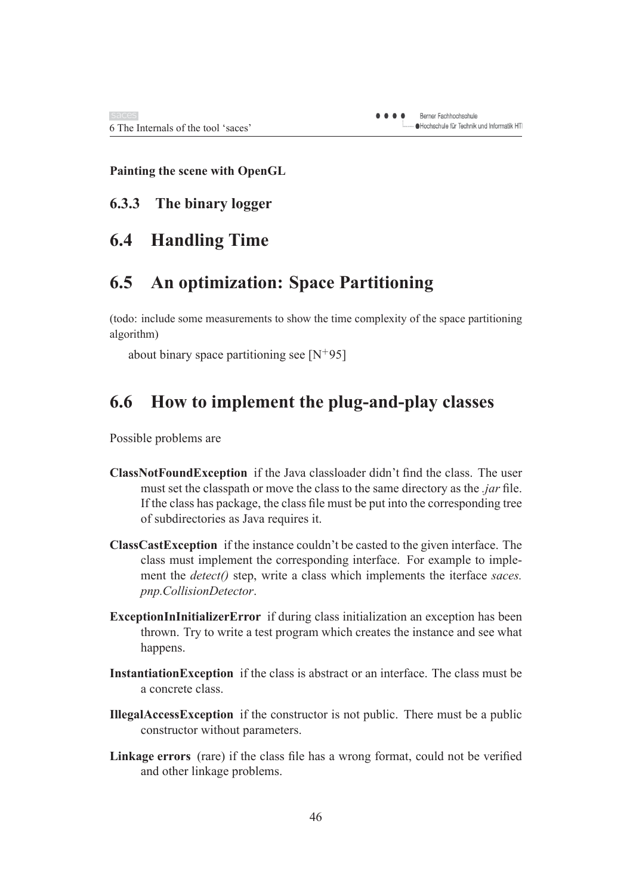**Painting the scene with OpenGL**

## **6.3.3 The binary logger**

## **6.4 Handling Time**

## **6.5 An optimization: Space Partitioning**

(todo: include some measurements to show the time complexity of the space partitioning algorithm)

about binary space partitioning see  $[N^+95]$ 

## **6.6 How to implement the plug-and-play classes**

Possible problems are

- **ClassNotFoundException** if the Java classloader didn't find the class. The user must set the classpath or move the class to the same directory as the *.jar* file. If the class has package, the class file must be put into the corresponding tree of subdirectories as Java requires it.
- **ClassCastException** if the instance couldn't be casted to the given interface. The class must implement the corresponding interface. For example to implement the *detect()* step, write a class which implements the iterface *saces. pnp.CollisionDetector*.
- **ExceptionInInitializerError** if during class initialization an exception has been thrown. Try to write a test program which creates the instance and see what happens.
- **InstantiationException** if the class is abstract or an interface. The class must be a concrete class.
- **IllegalAccessException** if the constructor is not public. There must be a public constructor without parameters.
- **Linkage errors** (rare) if the class file has a wrong format, could not be verified and other linkage problems.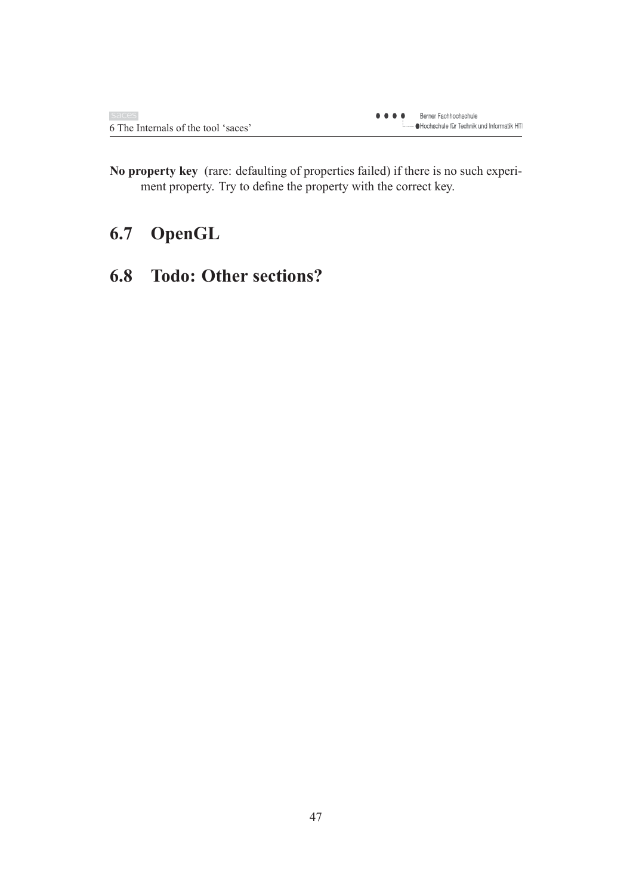**No property key** (rare: defaulting of properties failed) if there is no such experiment property. Try to define the property with the correct key.

## **6.7 OpenGL**

## **6.8 Todo: Other sections?**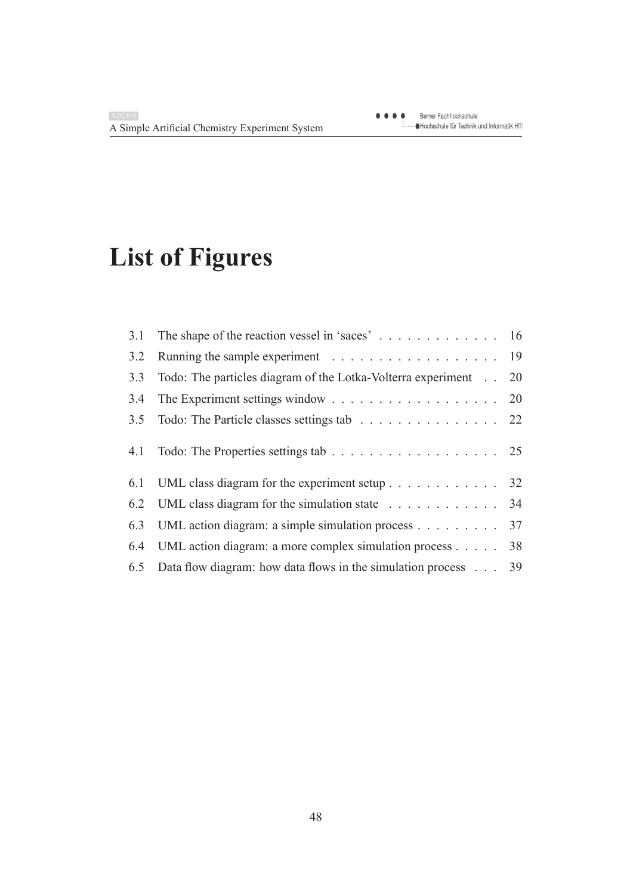# **List of Figures**

| 3.3 | Todo: The particles diagram of the Lotka-Volterra experiment 20                           |  |
|-----|-------------------------------------------------------------------------------------------|--|
| 3.4 | The Experiment settings window $\dots \dots \dots \dots \dots \dots \dots \dots \dots$ 20 |  |
|     | 3.5 Todo: The Particle classes settings tab 22                                            |  |
|     |                                                                                           |  |
|     | 6.1 UML class diagram for the experiment setup $\ldots \ldots \ldots \ldots$ 32           |  |
|     | 6.2 UML class diagram for the simulation state 34                                         |  |
| 6.3 | UML action diagram: a simple simulation process $\ldots \ldots \ldots$ 37                 |  |
| 6.4 | UML action diagram: a more complex simulation process 38                                  |  |
|     | 6.5 Data flow diagram: how data flows in the simulation process 39                        |  |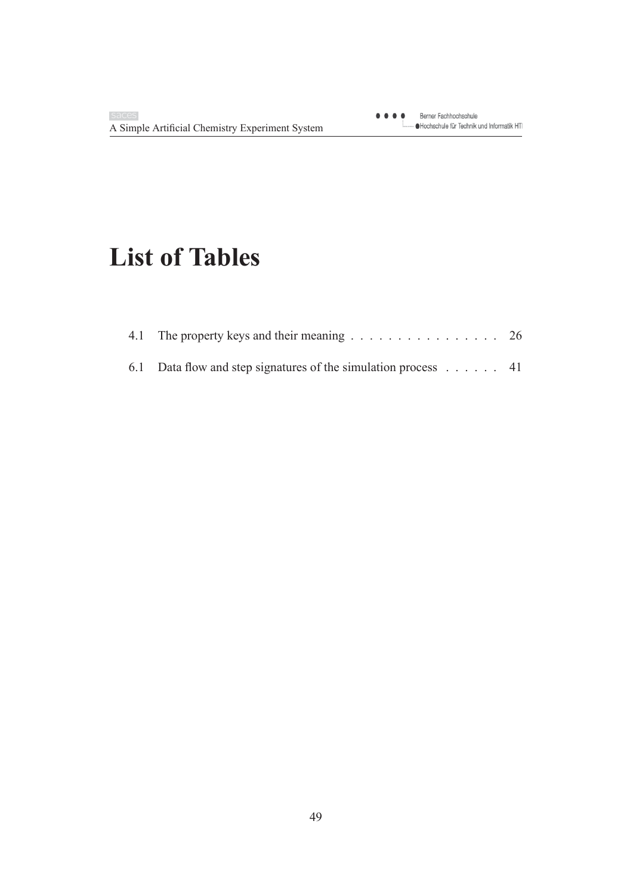## **List of Tables**

| 4.1 The property keys and their meaning 26                     |  |  |  |
|----------------------------------------------------------------|--|--|--|
| 6.1 Data flow and step signatures of the simulation process 41 |  |  |  |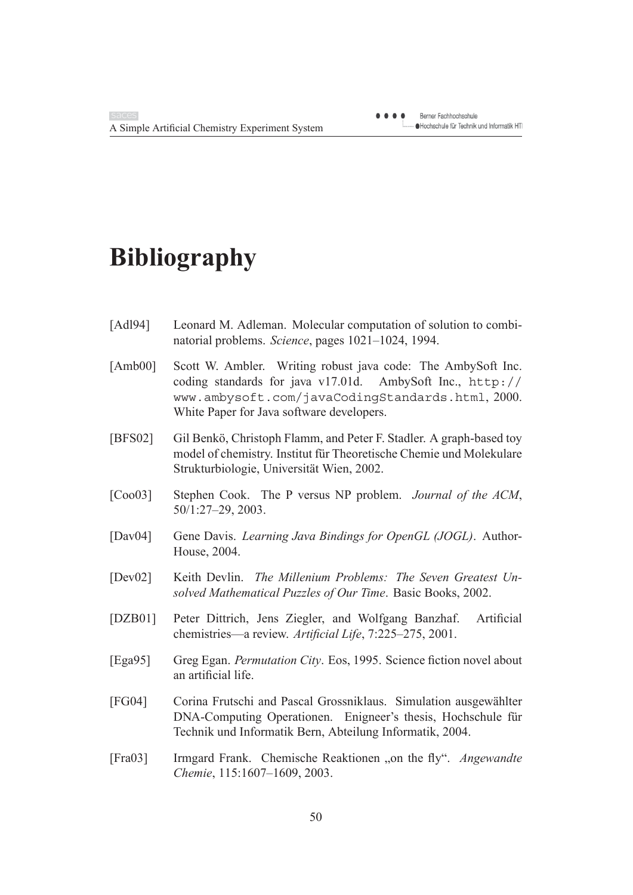## **Bibliography**

- [Adl94] Leonard M. Adleman. Molecular computation of solution to combinatorial problems. *Science*, pages 1021–1024, 1994.
- [Amb00] Scott W. Ambler. Writing robust java code: The AmbySoft Inc. coding standards for java v17.01d. AmbySoft Inc., http:// www.ambysoft.com/javaCodingStandards.html, 2000. White Paper for Java software developers.
- [BFS02] Gil Benkö, Christoph Flamm, and Peter F. Stadler. A graph-based toy model of chemistry. Institut für Theoretische Chemie und Molekulare Strukturbiologie, Universität Wien, 2002.
- [Coo03] Stephen Cook. The P versus NP problem. *Journal of the ACM*, 50/1:27–29, 2003.
- [Dav04] Gene Davis. *Learning Java Bindings for OpenGL (JOGL)*. Author-House, 2004.
- [Dev02] Keith Devlin. *The Millenium Problems: The Seven Greatest Unsolved Mathematical Puzzles of Our Time*. Basic Books, 2002.
- [DZB01] Peter Dittrich, Jens Ziegler, and Wolfgang Banzhaf. Artificial chemistries—a review. *Artificial Life*, 7:225–275, 2001.
- [Ega95] Greg Egan. *Permutation City*. Eos, 1995. Science fiction novel about an artificial life.
- [FG04] Corina Frutschi and Pascal Grossniklaus. Simulation ausgewählter DNA-Computing Operationen. Enigneer's thesis, Hochschule für Technik und Informatik Bern, Abteilung Informatik, 2004.
- [Fra03] Irmgard Frank. Chemische Reaktionen "on the fly". *Angewandte Chemie*, 115:1607–1609, 2003.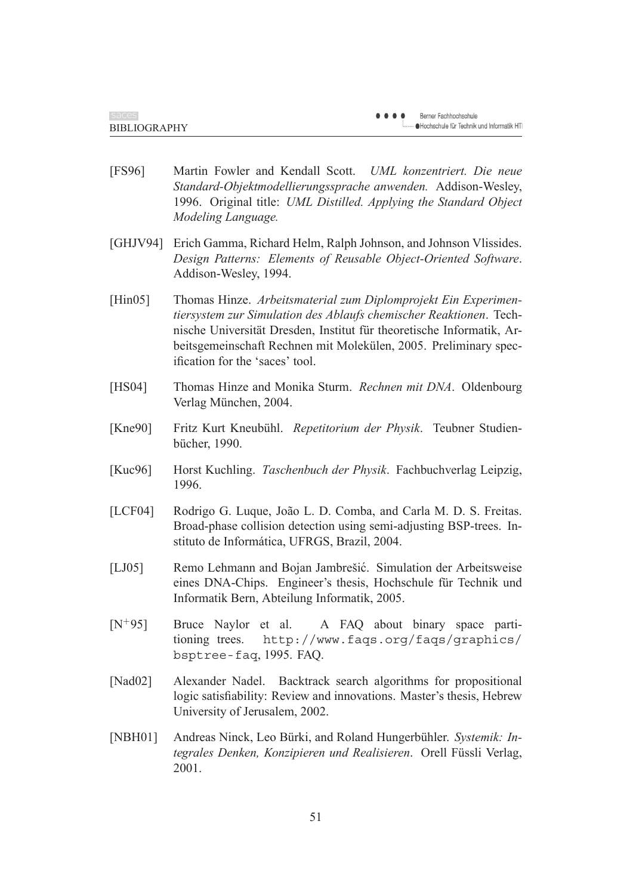- [FS96] Martin Fowler and Kendall Scott. *UML konzentriert. Die neue Standard-Objektmodellierungssprache anwenden.* Addison-Wesley, 1996. Original title: *UML Distilled. Applying the Standard Object Modeling Language.*
- [GHJV94] Erich Gamma, Richard Helm, Ralph Johnson, and Johnson Vlissides. *Design Patterns: Elements of Reusable Object-Oriented Software*. Addison-Wesley, 1994.
- [Hin05] Thomas Hinze. *Arbeitsmaterial zum Diplomprojekt Ein Experimentiersystem zur Simulation des Ablaufs chemischer Reaktionen*. Technische Universität Dresden, Institut für theoretische Informatik, Arbeitsgemeinschaft Rechnen mit Molekülen, 2005. Preliminary specification for the 'saces' tool.
- [HS04] Thomas Hinze and Monika Sturm. *Rechnen mit DNA*. Oldenbourg Verlag München, 2004.
- [Kne90] Fritz Kurt Kneubühl. *Repetitorium der Physik*. Teubner Studienbücher, 1990.
- [Kuc96] Horst Kuchling. *Taschenbuch der Physik*. Fachbuchverlag Leipzig, 1996.
- [LCF04] Rodrigo G. Luque, João L. D. Comba, and Carla M. D. S. Freitas. Broad-phase collision detection using semi-adjusting BSP-trees. Instituto de Informática, UFRGS, Brazil, 2004.
- [LJ05] Remo Lehmann and Bojan Jambrešić. Simulation der Arbeitsweise eines DNA-Chips. Engineer's thesis, Hochschule für Technik und Informatik Bern, Abteilung Informatik, 2005.
- [N<sup>+</sup>95] Bruce Naylor et al. A FAQ about binary space partitioning trees. http://www.faqs.org/faqs/graphics/ bsptree-faq, 1995. FAQ.
- [Nad02] Alexander Nadel. Backtrack search algorithms for propositional logic satisfiability: Review and innovations. Master's thesis, Hebrew University of Jerusalem, 2002.
- [NBH01] Andreas Ninck, Leo Bürki, and Roland Hungerbühler. *Systemik: Integrales Denken, Konzipieren und Realisieren*. Orell Füssli Verlag, 2001.